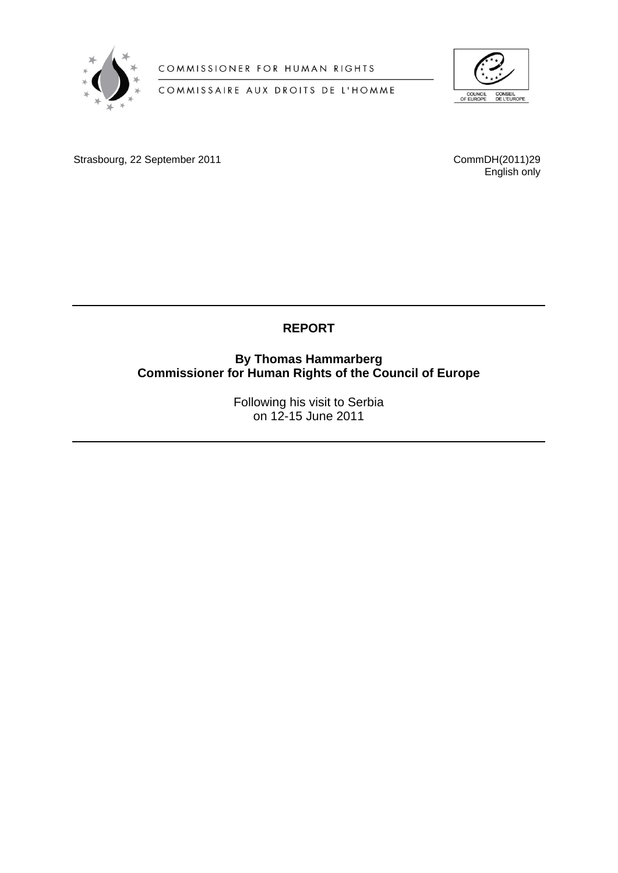

COMMISSIONER FOR HUMAN RIGHTS

COMMISSAIRE AUX DROITS DE L'HOMME



Strasbourg, 22 September 2011

CommDH(2011)29<br>English only

# **REPORT**

**By Thomas Hammarberg Commissioner for Human Rights of the Council of Europe** 

> Following his visit to Serbia on 12-15 June 2011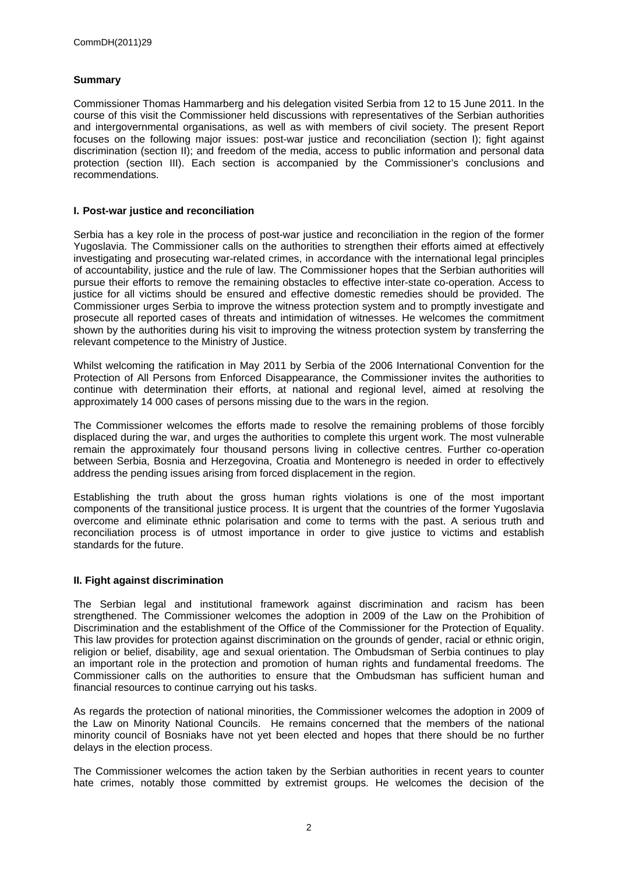### **Summary**

Commissioner Thomas Hammarberg and his delegation visited Serbia from 12 to 15 June 2011. In the course of this visit the Commissioner held discussions with representatives of the Serbian authorities and intergovernmental organisations, as well as with members of civil society. The present Report focuses on the following major issues: post-war justice and reconciliation (section I); fight against discrimination (section II); and freedom of the media, access to public information and personal data protection (section III). Each section is accompanied by the Commissioner's conclusions and recommendations.

#### **I. Post-war justice and reconciliation**

Serbia has a key role in the process of post-war justice and reconciliation in the region of the former Yugoslavia. The Commissioner calls on the authorities to strengthen their efforts aimed at effectively investigating and prosecuting war-related crimes, in accordance with the international legal principles of accountability, justice and the rule of law. The Commissioner hopes that the Serbian authorities will pursue their efforts to remove the remaining obstacles to effective inter-state co-operation. Access to justice for all victims should be ensured and effective domestic remedies should be provided. The Commissioner urges Serbia to improve the witness protection system and to promptly investigate and prosecute all reported cases of threats and intimidation of witnesses. He welcomes the commitment shown by the authorities during his visit to improving the witness protection system by transferring the relevant competence to the Ministry of Justice.

Whilst welcoming the ratification in May 2011 by Serbia of the 2006 International Convention for the Protection of All Persons from Enforced Disappearance, the Commissioner invites the authorities to continue with determination their efforts, at national and regional level, aimed at resolving the approximately 14 000 cases of persons missing due to the wars in the region.

The Commissioner welcomes the efforts made to resolve the remaining problems of those forcibly displaced during the war, and urges the authorities to complete this urgent work. The most vulnerable remain the approximately four thousand persons living in collective centres. Further co-operation between Serbia, Bosnia and Herzegovina, Croatia and Montenegro is needed in order to effectively address the pending issues arising from forced displacement in the region.

Establishing the truth about the gross human rights violations is one of the most important components of the transitional justice process. It is urgent that the countries of the former Yugoslavia overcome and eliminate ethnic polarisation and come to terms with the past. A serious truth and reconciliation process is of utmost importance in order to give justice to victims and establish standards for the future.

#### **II. Fight against discrimination**

The Serbian legal and institutional framework against discrimination and racism has been strengthened. The Commissioner welcomes the adoption in 2009 of the Law on the Prohibition of Discrimination and the establishment of the Office of the Commissioner for the Protection of Equality. This law provides for protection against discrimination on the grounds of gender, racial or ethnic origin, religion or belief, disability, age and sexual orientation. The Ombudsman of Serbia continues to play an important role in the protection and promotion of human rights and fundamental freedoms. The Commissioner calls on the authorities to ensure that the Ombudsman has sufficient human and financial resources to continue carrying out his tasks.

As regards the protection of national minorities, the Commissioner welcomes the adoption in 2009 of the Law on Minority National Councils. He remains concerned that the members of the national minority council of Bosniaks have not yet been elected and hopes that there should be no further delays in the election process.

The Commissioner welcomes the action taken by the Serbian authorities in recent years to counter hate crimes, notably those committed by extremist groups. He welcomes the decision of the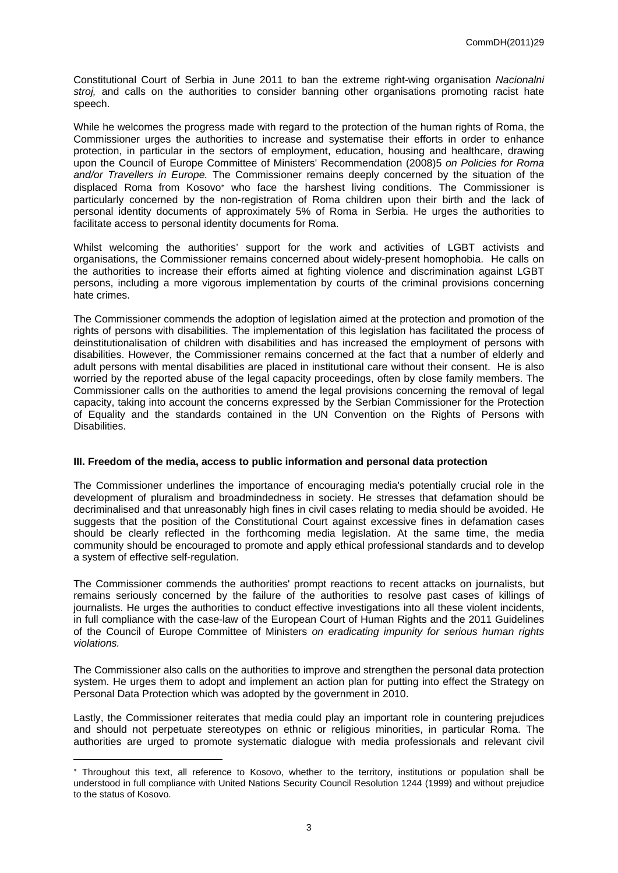Constitutional Court of Serbia in June 2011 to ban the extreme right-wing organisation *Nacionalni stroj,* and calls on the authorities to consider banning other organisations promoting racist hate speech.

While he welcomes the progress made with regard to the protection of the human rights of Roma, the Commissioner urges the authorities to increase and systematise their efforts in order to enhance protection, in particular in the sectors of employment, education, housing and healthcare, drawing upon the Council of Europe Committee of Ministers' Recommendation (2008)5 *on Policies for Roma and/or Travellers in Europe.* The Commissioner remains deeply concerned by the situation of the displaced Roma from Kosovo<sup>\*</sup> who face the harshest living conditions. The Commissioner is particularly concerned by the non-registration of Roma children upon their birth and the lack of personal identity documents of approximately 5% of Roma in Serbia. He urges the authorities to facilitate access to personal identity documents for Roma.

Whilst welcoming the authorities' support for the work and activities of LGBT activists and organisations, the Commissioner remains concerned about widely-present homophobia. He calls on the authorities to increase their efforts aimed at fighting violence and discrimination against LGBT persons, including a more vigorous implementation by courts of the criminal provisions concerning hate crimes.

The Commissioner commends the adoption of legislation aimed at the protection and promotion of the rights of persons with disabilities. The implementation of this legislation has facilitated the process of deinstitutionalisation of children with disabilities and has increased the employment of persons with disabilities. However, the Commissioner remains concerned at the fact that a number of elderly and adult persons with mental disabilities are placed in institutional care without their consent. He is also worried by the reported abuse of the legal capacity proceedings, often by close family members. The Commissioner calls on the authorities to amend the legal provisions concerning the removal of legal capacity, taking into account the concerns expressed by the Serbian Commissioner for the Protection of Equality and the standards contained in the UN Convention on the Rights of Persons with Disabilities.

#### **III. Freedom of the media, access to public information and personal data protection**

The Commissioner underlines the importance of encouraging media's potentially crucial role in the development of pluralism and broadmindedness in society. He stresses that defamation should be decriminalised and that unreasonably high fines in civil cases relating to media should be avoided. He suggests that the position of the Constitutional Court against excessive fines in defamation cases should be clearly reflected in the forthcoming media legislation. At the same time, the media community should be encouraged to promote and apply ethical professional standards and to develop a system of effective self-regulation.

The Commissioner commends the authorities' prompt reactions to recent attacks on journalists, but remains seriously concerned by the failure of the authorities to resolve past cases of killings of journalists. He urges the authorities to conduct effective investigations into all these violent incidents, in full compliance with the case-law of the European Court of Human Rights and the 2011 Guidelines of the Council of Europe Committee of Ministers *on eradicating impunity for serious human rights violations.*

The Commissioner also calls on the authorities to improve and strengthen the personal data protection system. He urges them to adopt and implement an action plan for putting into effect the Strategy on Personal Data Protection which was adopted by the government in 2010.

Lastly, the Commissioner reiterates that media could play an important role in countering prejudices and should not perpetuate stereotypes on ethnic or religious minorities, in particular Roma. The authorities are urged to promote systematic dialogue with media professionals and relevant civil

Throughout this text, all reference to Kosovo, whether to the territory, institutions or population shall be understood in full compliance with United Nations Security Council Resolution 1244 (1999) and without prejudice to the status of Kosovo.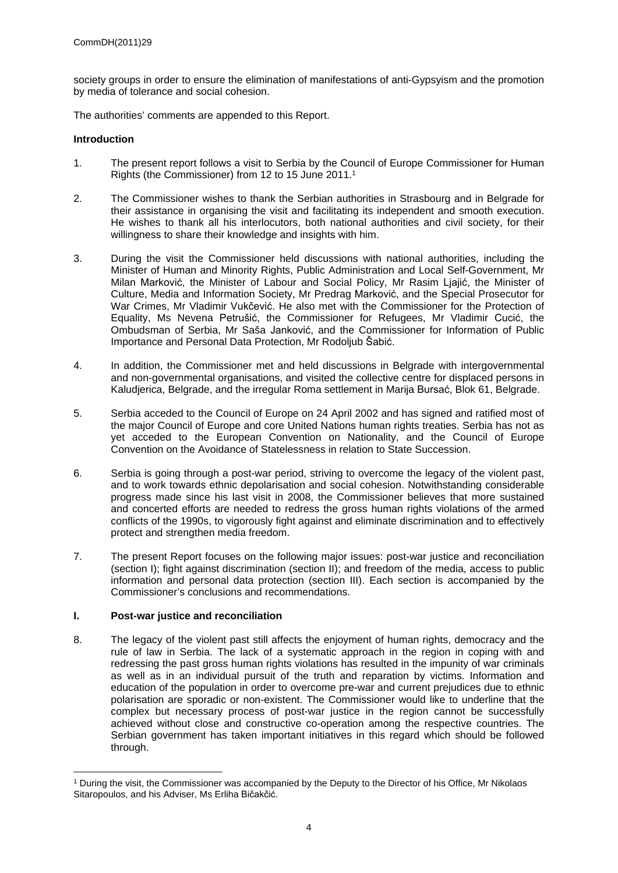society groups in order to ensure the elimination of manifestations of anti-Gypsyism and the promotion by media of tolerance and social cohesion.

The authorities' comments are appended to this Report.

#### **Introduction**

- 1. The present report follows a visit to Serbia by the Council of Europe Commissioner for Human Rights (the Commissioner) from 12 to 15 June 2011.<sup>1</sup>
- 2. The Commissioner wishes to thank the Serbian authorities in Strasbourg and in Belgrade for their assistance in organising the visit and facilitating its independent and smooth execution. He wishes to thank all his interlocutors, both national authorities and civil society, for their willingness to share their knowledge and insights with him.
- 3. During the visit the Commissioner held discussions with national authorities, including the Minister of Human and Minority Rights, Public Administration and Local Self-Government, Mr Milan Marković, the Minister of Labour and Social Policy, Mr Rasim Ljajić, the Minister of Culture, Media and Information Society, Mr Predrag Marković, and the Special Prosecutor for War Crimes, Mr Vladimir Vukčević. He also met with the Commissioner for the Protection of Equality, Ms Nevena Petrušić, the Commissioner for Refugees, Mr Vladimir Cucić, the Ombudsman of Serbia, Mr Saša Janković, and the Commissioner for Information of Public Importance and Personal Data Protection, Mr Rodoljub Šabić.
- 4. In addition, the Commissioner met and held discussions in Belgrade with intergovernmental and non-governmental organisations, and visited the collective centre for displaced persons in Kaludjerica, Belgrade, and the irregular Roma settlement in Marija Bursać, Blok 61, Belgrade.
- 5. Serbia acceded to the Council of Europe on 24 April 2002 and has signed and ratified most of the major Council of Europe and core United Nations human rights treaties. Serbia has not as yet acceded to the European Convention on Nationality, and the Council of Europe Convention on the Avoidance of Statelessness in relation to State Succession.
- 6. Serbia is going through a post-war period, striving to overcome the legacy of the violent past, and to work towards ethnic depolarisation and social cohesion. Notwithstanding considerable progress made since his last visit in 2008, the Commissioner believes that more sustained and concerted efforts are needed to redress the gross human rights violations of the armed conflicts of the 1990s, to vigorously fight against and eliminate discrimination and to effectively protect and strengthen media freedom.
- 7. The present Report focuses on the following major issues: post-war justice and reconciliation (section I); fight against discrimination (section II); and freedom of the media, access to public information and personal data protection (section III). Each section is accompanied by the Commissioner's conclusions and recommendations.

#### **I. Post-war justice and reconciliation**

8. The legacy of the violent past still affects the enjoyment of human rights, democracy and the rule of law in Serbia. The lack of a systematic approach in the region in coping with and redressing the past gross human rights violations has resulted in the impunity of war criminals as well as in an individual pursuit of the truth and reparation by victims. Information and education of the population in order to overcome pre-war and current prejudices due to ethnic polarisation are sporadic or non-existent. The Commissioner would like to underline that the complex but necessary process of post-war justice in the region cannot be successfully achieved without close and constructive co-operation among the respective countries. The Serbian government has taken important initiatives in this regard which should be followed through.

<sup>1</sup> During the visit, the Commissioner was accompanied by the Deputy to the Director of his Office, Mr Nikolaos Sitaropoulos, and his Adviser, Ms Erliha Bičakčić.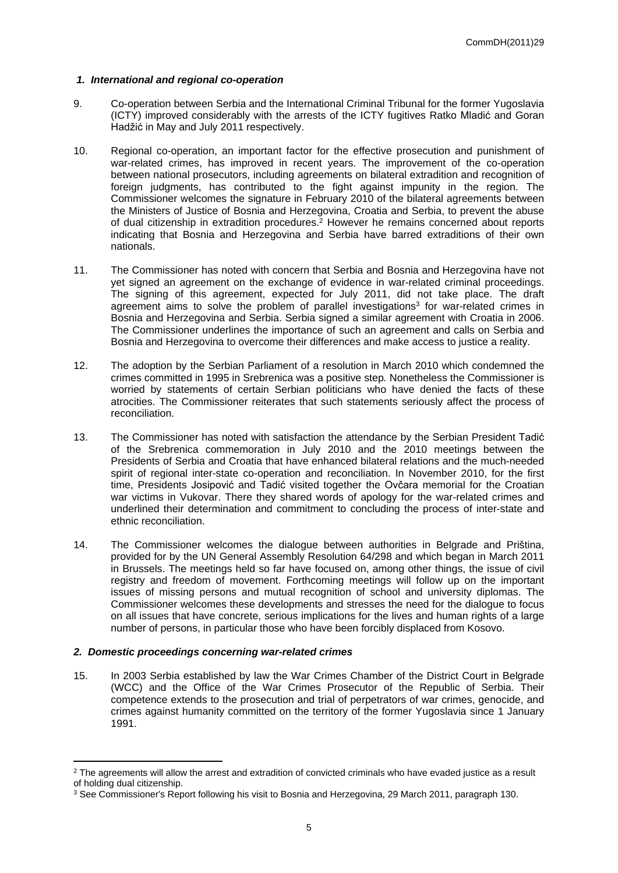#### *1. International and regional co-operation*

- 9. Co-operation between Serbia and the International Criminal Tribunal for the former Yugoslavia (ICTY) improved considerably with the arrests of the ICTY fugitives Ratko Mladić and Goran Hadžić in May and July 2011 respectively.
- 10. Regional co-operation, an important factor for the effective prosecution and punishment of war-related crimes, has improved in recent years. The improvement of the co-operation between national prosecutors, including agreements on bilateral extradition and recognition of foreign judgments, has contributed to the fight against impunity in the region. The Commissioner welcomes the signature in February 2010 of the bilateral agreements between the Ministers of Justice of Bosnia and Herzegovina, Croatia and Serbia, to prevent the abuse of dual citizenship in extradition procedures.<sup>2</sup> However he remains concerned about reports indicating that Bosnia and Herzegovina and Serbia have barred extraditions of their own nationals.
- 11. The Commissioner has noted with concern that Serbia and Bosnia and Herzegovina have not yet signed an agreement on the exchange of evidence in war-related criminal proceedings. The signing of this agreement, expected for July 2011, did not take place. The draft agreement aims to solve the problem of parallel investigations<sup>3</sup> for war-related crimes in Bosnia and Herzegovina and Serbia. Serbia signed a similar agreement with Croatia in 2006. The Commissioner underlines the importance of such an agreement and calls on Serbia and Bosnia and Herzegovina to overcome their differences and make access to justice a reality.
- 12. The adoption by the Serbian Parliament of a resolution in March 2010 which condemned the crimes committed in 1995 in Srebrenica was a positive step*.* Nonetheless the Commissioner is worried by statements of certain Serbian politicians who have denied the facts of these atrocities. The Commissioner reiterates that such statements seriously affect the process of reconciliation.
- 13. The Commissioner has noted with satisfaction the attendance by the Serbian President Tadić of the Srebrenica commemoration in July 2010 and the 2010 meetings between the Presidents of Serbia and Croatia that have enhanced bilateral relations and the much-needed spirit of regional inter-state co-operation and reconciliation. In November 2010, for the first time, Presidents Josipović and Tadić visited together the Ovčara memorial for the Croatian war victims in Vukovar. There they shared words of apology for the war-related crimes and underlined their determination and commitment to concluding the process of inter-state and ethnic reconciliation.
- 14. The Commissioner welcomes the dialogue between authorities in Belgrade and Priština, provided for by the UN General Assembly Resolution 64/298 and which began in March 2011 in Brussels. The meetings held so far have focused on, among other things, the issue of civil registry and freedom of movement. Forthcoming meetings will follow up on the important issues of missing persons and mutual recognition of school and university diplomas. The Commissioner welcomes these developments and stresses the need for the dialogue to focus on all issues that have concrete, serious implications for the lives and human rights of a large number of persons, in particular those who have been forcibly displaced from Kosovo.

#### *2. Domestic proceedings concerning war-related crimes*

15. In 2003 Serbia established by law the War Crimes Chamber of the District Court in Belgrade (WCC) and the Office of the War Crimes Prosecutor of the Republic of Serbia. Their competence extends to the prosecution and trial of perpetrators of war crimes, genocide, and crimes against humanity committed on the territory of the former Yugoslavia since 1 January 1991.

 $2$  The agreements will allow the arrest and extradition of convicted criminals who have evaded justice as a result of holding dual citizenship.

<sup>3</sup> See Commissioner's Report following his visit to Bosnia and Herzegovina, 29 March 2011, paragraph 130.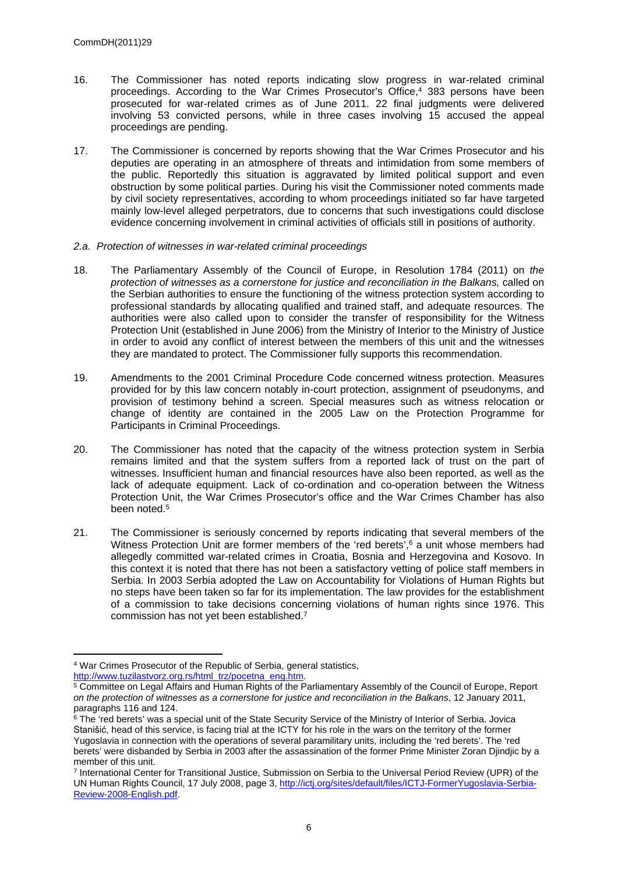- 16. The Commissioner has noted reports indicating slow progress in war-related criminal proceedings. According to the War Crimes Prosecutor's Office,<sup>4</sup> 383 persons have been prosecuted for war-related crimes as of June 2011. 22 final judgments were delivered involving 53 convicted persons, while in three cases involving 15 accused the appeal proceedings are pending.
- 17. The Commissioner is concerned by reports showing that the War Crimes Prosecutor and his deputies are operating in an atmosphere of threats and intimidation from some members of the public. Reportedly this situation is aggravated by limited political support and even obstruction by some political parties. During his visit the Commissioner noted comments made by civil society representatives, according to whom proceedings initiated so far have targeted mainly low-level alleged perpetrators, due to concerns that such investigations could disclose evidence concerning involvement in criminal activities of officials still in positions of authority.
- *2.a. Protection of witnesses in war-related criminal proceedings*
- 18. The Parliamentary Assembly of the Council of Europe, in Resolution 1784 (2011) on *the protection of witnesses as a cornerstone for justice and reconciliation in the Balkans,* called on the Serbian authorities to ensure the functioning of the witness protection system according to professional standards by allocating qualified and trained staff, and adequate resources. The authorities were also called upon to consider the transfer of responsibility for the Witness Protection Unit (established in June 2006) from the Ministry of Interior to the Ministry of Justice in order to avoid any conflict of interest between the members of this unit and the witnesses they are mandated to protect. The Commissioner fully supports this recommendation.
- 19. Amendments to the 2001 Criminal Procedure Code concerned witness protection. Measures provided for by this law concern notably in-court protection, assignment of pseudonyms, and provision of testimony behind a screen. Special measures such as witness relocation or change of identity are contained in the 2005 Law on the Protection Programme for Participants in Criminal Proceedings.
- 20. The Commissioner has noted that the capacity of the witness protection system in Serbia remains limited and that the system suffers from a reported lack of trust on the part of witnesses. Insufficient human and financial resources have also been reported, as well as the lack of adequate equipment. Lack of co-ordination and co-operation between the Witness Protection Unit, the War Crimes Prosecutor's office and the War Crimes Chamber has also been noted.<sup>5</sup>
- 21. The Commissioner is seriously concerned by reports indicating that several members of the Witness Protection Unit are former members of the 'red berets',<sup>6</sup> a unit whose members had allegedly committed war-related crimes in Croatia, Bosnia and Herzegovina and Kosovo. In this context it is noted that there has not been a satisfactory vetting of police staff members in Serbia. In 2003 Serbia adopted the Law on Accountability for Violations of Human Rights but no steps have been taken so far for its implementation. The law provides for the establishment of a commission to take decisions concerning violations of human rights since 1976. This commission has not yet been established.<sup>7</sup>

[http://www.tuzilastvorz.org.rs/html\\_trz/pocetna\\_eng.htm](http://www.tuzilastvorz.org.rs/html_trz/pocetna_eng.htm).

<sup>4</sup> War Crimes Prosecutor of the Republic of Serbia, general statistics,

<sup>5</sup> Committee on Legal Affairs and Human Rights of the Parliamentary Assembly of the Council of Europe, Report *on the protection of witnesses as a cornerstone for justice and reconciliation in the Balkans*, 12 January 2011, paragraphs 116 and 124.

<sup>&</sup>lt;sup>6</sup> The 'red berets' was a special unit of the State Security Service of the Ministry of Interior of Serbia. Jovica Stanišić, head of this service, is facing trial at the ICTY for his role in the wars on the territory of the former Yugoslavia in connection with the operations of several paramilitary units, including the 'red berets'. The 'red berets' were disbanded by Serbia in 2003 after the assassination of the former Prime Minister Zoran Djindjic by a member of this unit.

<sup>7</sup> International Center for Transitional Justice, Submission on Serbia to the Universal Period Review (UPR) of the UN Human Rights Council, 17 July 2008, page 3, [http://ictj.org/sites/default/files/ICTJ-FormerYugoslavia-Serbia-](http://ictj.org/sites/default/files/ICTJ-FormerYugoslavia-Serbia-Review-2008-English.pdf)[Review-2008-English.pdf.](http://ictj.org/sites/default/files/ICTJ-FormerYugoslavia-Serbia-Review-2008-English.pdf)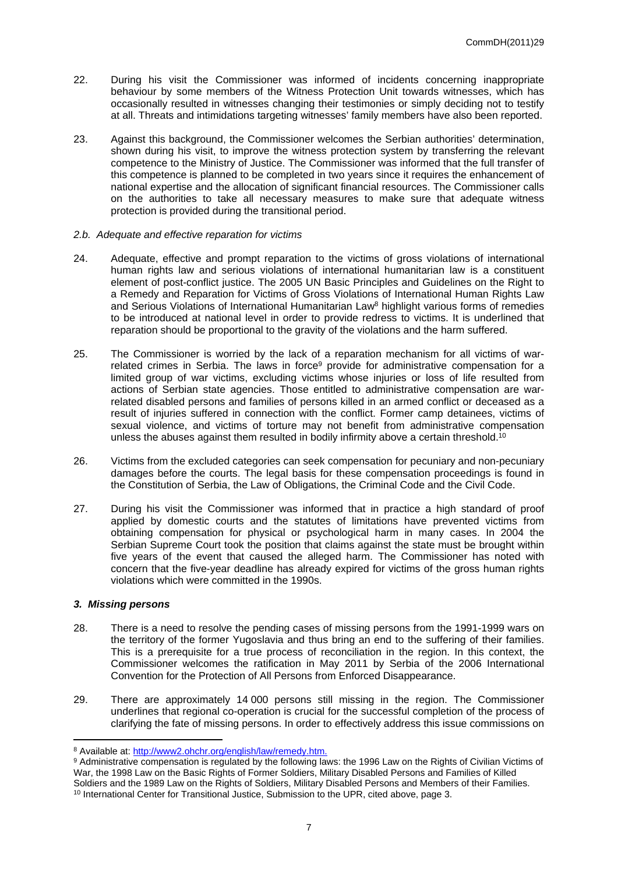- 22. During his visit the Commissioner was informed of incidents concerning inappropriate behaviour by some members of the Witness Protection Unit towards witnesses, which has occasionally resulted in witnesses changing their testimonies or simply deciding not to testify at all. Threats and intimidations targeting witnesses' family members have also been reported.
- 23. Against this background, the Commissioner welcomes the Serbian authorities' determination, shown during his visit, to improve the witness protection system by transferring the relevant competence to the Ministry of Justice. The Commissioner was informed that the full transfer of this competence is planned to be completed in two years since it requires the enhancement of national expertise and the allocation of significant financial resources. The Commissioner calls on the authorities to take all necessary measures to make sure that adequate witness protection is provided during the transitional period.
- *2.b. Adequate and effective reparation for victims*
- 24. Adequate, effective and prompt reparation to the victims of gross violations of international human rights law and serious violations of international humanitarian law is a constituent element of post-conflict justice. The 2005 UN Basic Principles and Guidelines on the Right to a Remedy and Reparation for Victims of Gross Violations of International Human Rights Law and Serious Violations of International Humanitarian Law<sup>8</sup> highlight various forms of remedies to be introduced at national level in order to provide redress to victims. It is underlined that reparation should be proportional to the gravity of the violations and the harm suffered.
- 25. The Commissioner is worried by the lack of a reparation mechanism for all victims of warrelated crimes in Serbia. The laws in force<sup>9</sup> provide for administrative compensation for a limited group of war victims, excluding victims whose injuries or loss of life resulted from actions of Serbian state agencies. Those entitled to administrative compensation are warrelated disabled persons and families of persons killed in an armed conflict or deceased as a result of injuries suffered in connection with the conflict. Former camp detainees, victims of sexual violence, and victims of torture may not benefit from administrative compensation unless the abuses against them resulted in bodily infirmity above a certain threshold.<sup>10</sup>
- 26. Victims from the excluded categories can seek compensation for pecuniary and non-pecuniary damages before the courts. The legal basis for these compensation proceedings is found in the Constitution of Serbia, the Law of Obligations, the Criminal Code and the Civil Code.
- 27. During his visit the Commissioner was informed that in practice a high standard of proof applied by domestic courts and the statutes of limitations have prevented victims from obtaining compensation for physical or psychological harm in many cases. In 2004 the Serbian Supreme Court took the position that claims against the state must be brought within five years of the event that caused the alleged harm. The Commissioner has noted with concern that the five-year deadline has already expired for victims of the gross human rights violations which were committed in the 1990s.

#### *3. Missing persons*

- 28. There is a need to resolve the pending cases of missing persons from the 1991-1999 wars on the territory of the former Yugoslavia and thus bring an end to the suffering of their families. This is a prerequisite for a true process of reconciliation in the region. In this context, the Commissioner welcomes the ratification in May 2011 by Serbia of the 2006 International Convention for the Protection of All Persons from Enforced Disappearance.
- 29. There are approximately 14 000 persons still missing in the region. The Commissioner underlines that regional co-operation is crucial for the successful completion of the process of clarifying the fate of missing persons. In order to effectively address this issue commissions on

<sup>&</sup>lt;sup>8</sup> Available at:<http://www2.ohchr.org/english/law/remedy.htm.>

<sup>9</sup> Administrative compensation is regulated by the following laws: the 1996 Law on the Rights of Civilian Victims of War, the 1998 Law on the Basic Rights of Former Soldiers, Military Disabled Persons and Families of Killed Soldiers and the 1989 Law on the Rights of Soldiers, Military Disabled Persons and Members of their Families.

<sup>&</sup>lt;sup>10</sup> International Center for Transitional Justice, Submission to the UPR, cited above, page 3.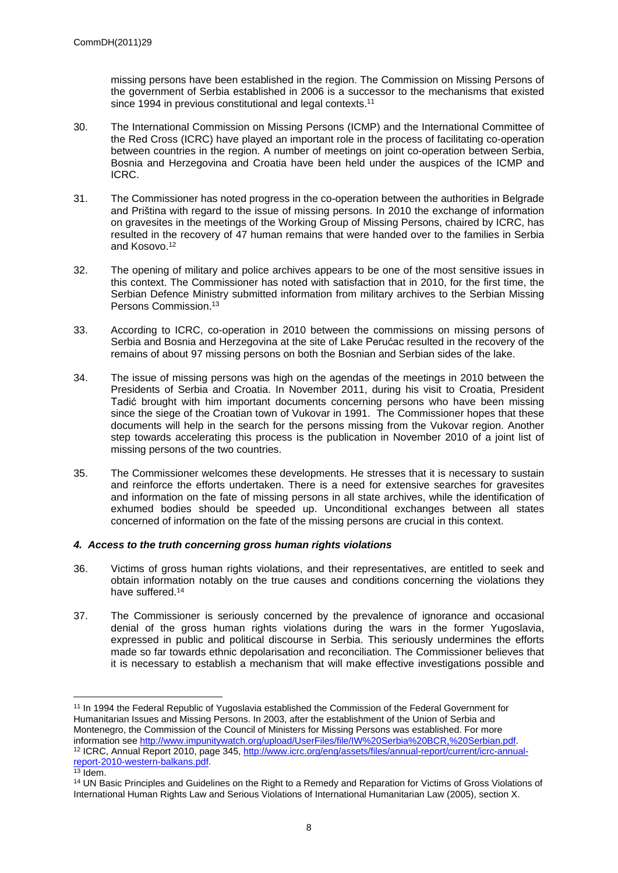missing persons have been established in the region. The Commission on Missing Persons of the government of Serbia established in 2006 is a successor to the mechanisms that existed since 1994 in previous constitutional and legal contexts.<sup>11</sup>

- 30. The International Commission on Missing Persons (ICMP) and the International Committee of the Red Cross (ICRC) have played an important role in the process of facilitating co-operation between countries in the region. A number of meetings on joint co-operation between Serbia, Bosnia and Herzegovina and Croatia have been held under the auspices of the ICMP and ICRC.
- 31. The Commissioner has noted progress in the co-operation between the authorities in Belgrade and Priština with regard to the issue of missing persons. In 2010 the exchange of information on gravesites in the meetings of the Working Group of Missing Persons, chaired by ICRC, has resulted in the recovery of 47 human remains that were handed over to the families in Serbia and Kosovo.<sup>12</sup>
- 32. The opening of military and police archives appears to be one of the most sensitive issues in this context. The Commissioner has noted with satisfaction that in 2010, for the first time, the Serbian Defence Ministry submitted information from military archives to the Serbian Missing Persons Commission.<sup>13</sup>
- 33. According to ICRC, co-operation in 2010 between the commissions on missing persons of Serbia and Bosnia and Herzegovina at the site of Lake Perućac resulted in the recovery of the remains of about 97 missing persons on both the Bosnian and Serbian sides of the lake.
- 34. The issue of missing persons was high on the agendas of the meetings in 2010 between the Presidents of Serbia and Croatia. In November 2011, during his visit to Croatia, President Tadić brought with him important documents concerning persons who have been missing since the siege of the Croatian town of Vukovar in 1991. The Commissioner hopes that these documents will help in the search for the persons missing from the Vukovar region. Another step towards accelerating this process is the publication in November 2010 of a joint list of missing persons of the two countries.
- 35. The Commissioner welcomes these developments. He stresses that it is necessary to sustain and reinforce the efforts undertaken. There is a need for extensive searches for gravesites and information on the fate of missing persons in all state archives, while the identification of exhumed bodies should be speeded up. Unconditional exchanges between all states concerned of information on the fate of the missing persons are crucial in this context.

#### *4. Access to the truth concerning gross human rights violations*

- 36. Victims of gross human rights violations, and their representatives, are entitled to seek and obtain information notably on the true causes and conditions concerning the violations they have suffered.<sup>14</sup>
- 37. The Commissioner is seriously concerned by the prevalence of ignorance and occasional denial of the gross human rights violations during the wars in the former Yugoslavia, expressed in public and political discourse in Serbia. This seriously undermines the efforts made so far towards ethnic depolarisation and reconciliation. The Commissioner believes that it is necessary to establish a mechanism that will make effective investigations possible and

<sup>11</sup> In 1994 the Federal Republic of Yugoslavia established the Commission of the Federal Government for Humanitarian Issues and Missing Persons. In 2003, after the establishment of the Union of Serbia and Montenegro, the Commission of the Council of Ministers for Missing Persons was established. For more information see <http://www.impunitywatch.org/upload/UserFiles/file/IW%20Serbia%20BCR,%20Serbian.pdf>. 12 ICRC, Annual Report 2010, page 345, [http://www.icrc.org/eng/assets/files/annual-report/current/icrc-annual](http://www.icrc.org/eng/assets/files/annual-report/current/icrc-annual-report-2010-western-balkans.pdf)[report-2010-western-balkans.pdf.](http://www.icrc.org/eng/assets/files/annual-report/current/icrc-annual-report-2010-western-balkans.pdf)

 $13$  Idem.

<sup>&</sup>lt;sup>14</sup> UN Basic Principles and Guidelines on the Right to a Remedy and Reparation for Victims of Gross Violations of International Human Rights Law and Serious Violations of International Humanitarian Law (2005), section X.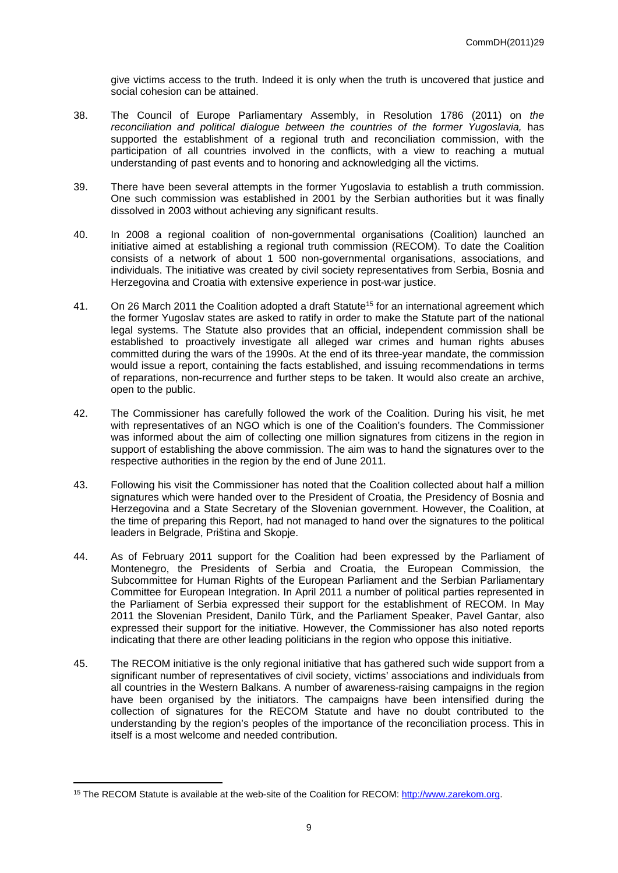give victims access to the truth. Indeed it is only when the truth is uncovered that justice and social cohesion can be attained.

- 38. The Council of Europe Parliamentary Assembly, in Resolution 1786 (2011) on *the*  reconciliation and political dialogue between the countries of the former Yugoslavia, has supported the establishment of a regional truth and reconciliation commission, with the participation of all countries involved in the conflicts, with a view to reaching a mutual understanding of past events and to honoring and acknowledging all the victims.
- 39. There have been several attempts in the former Yugoslavia to establish a truth commission. One such commission was established in 2001 by the Serbian authorities but it was finally dissolved in 2003 without achieving any significant results.
- 40. In 2008 a regional coalition of non-governmental organisations (Coalition) launched an initiative aimed at establishing a regional truth commission (RECOM). To date the Coalition consists of a network of about 1 500 non-governmental organisations, associations, and individuals. The initiative was created by civil society representatives from Serbia, Bosnia and Herzegovina and Croatia with extensive experience in post-war justice.
- 41. On 26 March 2011 the Coalition adopted a draft Statute<sup>15</sup> for an international agreement which the former Yugoslav states are asked to ratify in order to make the Statute part of the national legal systems. The Statute also provides that an official, independent commission shall be established to proactively investigate all alleged war crimes and human rights abuses committed during the wars of the 1990s. At the end of its three-year mandate, the commission would issue a report, containing the facts established, and issuing recommendations in terms of reparations, non-recurrence and further steps to be taken. It would also create an archive, open to the public.
- 42. The Commissioner has carefully followed the work of the Coalition. During his visit, he met with representatives of an NGO which is one of the Coalition's founders. The Commissioner was informed about the aim of collecting one million signatures from citizens in the region in support of establishing the above commission. The aim was to hand the signatures over to the respective authorities in the region by the end of June 2011.
- 43. Following his visit the Commissioner has noted that the Coalition collected about half a million signatures which were handed over to the President of Croatia, the Presidency of Bosnia and Herzegovina and a State Secretary of the Slovenian government. However, the Coalition, at the time of preparing this Report, had not managed to hand over the signatures to the political leaders in Belgrade, Priština and Skopje.
- 44. As of February 2011 support for the Coalition had been expressed by the Parliament of Montenegro, the Presidents of Serbia and Croatia, the European Commission, the Subcommittee for Human Rights of the European Parliament and the Serbian Parliamentary Committee for European Integration. In April 2011 a number of political parties represented in the Parliament of Serbia expressed their support for the establishment of RECOM. In May 2011 the Slovenian President, Danilo Türk, and the Parliament Speaker, Pavel Gantar, also expressed their support for the initiative. However, the Commissioner has also noted reports indicating that there are other leading politicians in the region who oppose this initiative.
- 45. The RECOM initiative is the only regional initiative that has gathered such wide support from a significant number of representatives of civil society, victims' associations and individuals from all countries in the Western Balkans. A number of awareness-raising campaigns in the region have been organised by the initiators. The campaigns have been intensified during the collection of signatures for the RECOM Statute and have no doubt contributed to the understanding by the region's peoples of the importance of the reconciliation process. This in itself is a most welcome and needed contribution.

<sup>&</sup>lt;sup>15</sup> The RECOM Statute is available at the web-site of the Coalition for RECOM: [http://www.zarekom.org.](http://www.zarekom.org)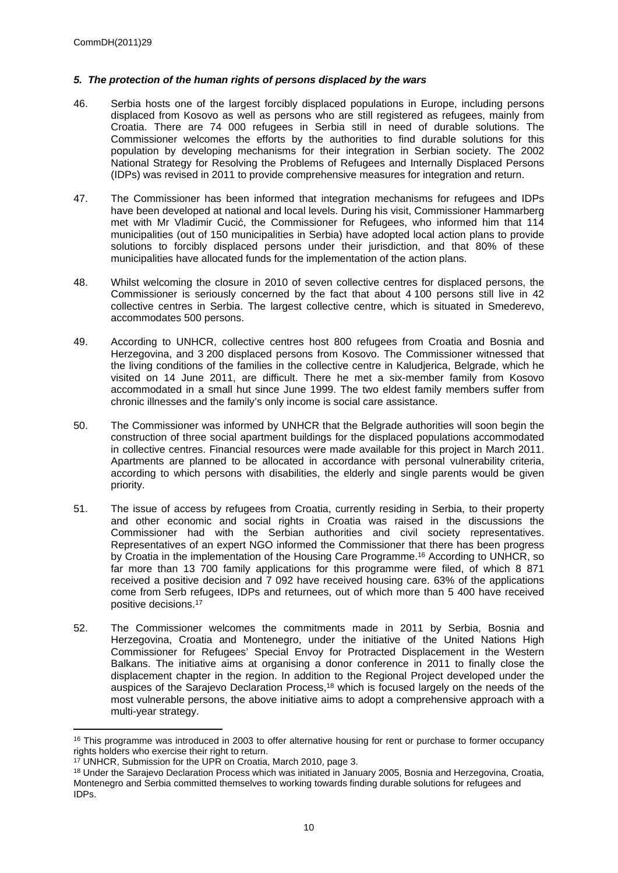#### *5. The protection of the human rights of persons displaced by the wars*

- 46. Serbia hosts one of the largest forcibly displaced populations in Europe, including persons displaced from Kosovo as well as persons who are still registered as refugees, mainly from Croatia. There are 74 000 refugees in Serbia still in need of durable solutions. The Commissioner welcomes the efforts by the authorities to find durable solutions for this population by developing mechanisms for their integration in Serbian society. The 2002 National Strategy for Resolving the Problems of Refugees and Internally Displaced Persons (IDPs) was revised in 2011 to provide comprehensive measures for integration and return.
- 47. The Commissioner has been informed that integration mechanisms for refugees and IDPs have been developed at national and local levels. During his visit, Commissioner Hammarberg met with Mr Vladimir Cucić, the Commissioner for Refugees, who informed him that 114 municipalities (out of 150 municipalities in Serbia) have adopted local action plans to provide solutions to forcibly displaced persons under their jurisdiction, and that 80% of these municipalities have allocated funds for the implementation of the action plans.
- 48. Whilst welcoming the closure in 2010 of seven collective centres for displaced persons, the Commissioner is seriously concerned by the fact that about 4 100 persons still live in 42 collective centres in Serbia. The largest collective centre, which is situated in Smederevo, accommodates 500 persons.
- 49. According to UNHCR, collective centres host 800 refugees from Croatia and Bosnia and Herzegovina, and 3 200 displaced persons from Kosovo. The Commissioner witnessed that the living conditions of the families in the collective centre in Kaludjerica, Belgrade, which he visited on 14 June 2011, are difficult. There he met a six-member family from Kosovo accommodated in a small hut since June 1999. The two eldest family members suffer from chronic illnesses and the family's only income is social care assistance.
- 50. The Commissioner was informed by UNHCR that the Belgrade authorities will soon begin the construction of three social apartment buildings for the displaced populations accommodated in collective centres. Financial resources were made available for this project in March 2011. Apartments are planned to be allocated in accordance with personal vulnerability criteria, according to which persons with disabilities, the elderly and single parents would be given priority.
- 51. The issue of access by refugees from Croatia, currently residing in Serbia, to their property and other economic and social rights in Croatia was raised in the discussions the Commissioner had with the Serbian authorities and civil society representatives. Representatives of an expert NGO informed the Commissioner that there has been progress by Croatia in the implementation of the Housing Care Programme.<sup>16</sup> According to UNHCR, so far more than 13 700 family applications for this programme were filed, of which 8 871 received a positive decision and 7 092 have received housing care. 63% of the applications come from Serb refugees, IDPs and returnees, out of which more than 5 400 have received positive decisions.<sup>17</sup>
- 52. The Commissioner welcomes the commitments made in 2011 by Serbia, Bosnia and Herzegovina, Croatia and Montenegro, under the initiative of the United Nations High Commissioner for Refugees' Special Envoy for Protracted Displacement in the Western Balkans. The initiative aims at organising a donor conference in 2011 to finally close the displacement chapter in the region. In addition to the Regional Project developed under the auspices of the Sarajevo Declaration Process,<sup>18</sup> which is focused largely on the needs of the most vulnerable persons, the above initiative aims to adopt a comprehensive approach with a multi-year strategy.

<sup>&</sup>lt;sup>16</sup> This programme was introduced in 2003 to offer alternative housing for rent or purchase to former occupancy rights holders who exercise their right to return.

<sup>&</sup>lt;sup>17</sup> UNHCR, Submission for the UPR on Croatia, March 2010, page 3.

<sup>18</sup> Under the Sarajevo Declaration Process which was initiated in January 2005, Bosnia and Herzegovina, Croatia, Montenegro and Serbia committed themselves to working towards finding durable solutions for refugees and IDPs.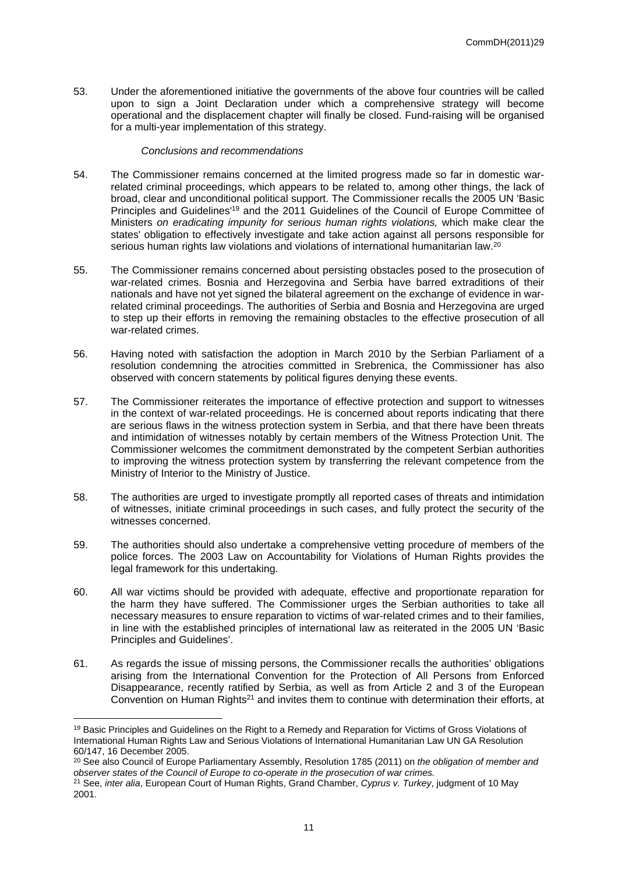53. Under the aforementioned initiative the governments of the above four countries will be called upon to sign a Joint Declaration under which a comprehensive strategy will become operational and the displacement chapter will finally be closed. Fund-raising will be organised for a multi-year implementation of this strategy.

#### *Conclusions and recommendations*

- 54. The Commissioner remains concerned at the limited progress made so far in domestic warrelated criminal proceedings, which appears to be related to, among other things, the lack of broad, clear and unconditional political support. The Commissioner recalls the 2005 UN 'Basic Principles and Guidelines'<sup>19</sup> and the 2011 Guidelines of the Council of Europe Committee of Ministers *on eradicating impunity for serious human rights violations,* which make clear the states' obligation to effectively investigate and take action against all persons responsible for serious human rights law violations and violations of international humanitarian law.<sup>20</sup>
- 55. The Commissioner remains concerned about persisting obstacles posed to the prosecution of war-related crimes. Bosnia and Herzegovina and Serbia have barred extraditions of their nationals and have not yet signed the bilateral agreement on the exchange of evidence in warrelated criminal proceedings. The authorities of Serbia and Bosnia and Herzegovina are urged to step up their efforts in removing the remaining obstacles to the effective prosecution of all war-related crimes.
- 56. Having noted with satisfaction the adoption in March 2010 by the Serbian Parliament of a resolution condemning the atrocities committed in Srebrenica, the Commissioner has also observed with concern statements by political figures denying these events.
- 57. The Commissioner reiterates the importance of effective protection and support to witnesses in the context of war-related proceedings. He is concerned about reports indicating that there are serious flaws in the witness protection system in Serbia, and that there have been threats and intimidation of witnesses notably by certain members of the Witness Protection Unit. The Commissioner welcomes the commitment demonstrated by the competent Serbian authorities to improving the witness protection system by transferring the relevant competence from the Ministry of Interior to the Ministry of Justice.
- 58. The authorities are urged to investigate promptly all reported cases of threats and intimidation of witnesses, initiate criminal proceedings in such cases, and fully protect the security of the witnesses concerned.
- 59. The authorities should also undertake a comprehensive vetting procedure of members of the police forces. The 2003 Law on Accountability for Violations of Human Rights provides the legal framework for this undertaking.
- 60. All war victims should be provided with adequate, effective and proportionate reparation for the harm they have suffered. The Commissioner urges the Serbian authorities to take all necessary measures to ensure reparation to victims of war-related crimes and to their families, in line with the established principles of international law as reiterated in the 2005 UN 'Basic Principles and Guidelines'.
- 61. As regards the issue of missing persons, the Commissioner recalls the authorities' obligations arising from the International Convention for the Protection of All Persons from Enforced Disappearance, recently ratified by Serbia, as well as from Article 2 and 3 of the European Convention on Human Rights<sup>21</sup> and invites them to continue with determination their efforts, at

<sup>19</sup> Basic Principles and Guidelines on the Right to a Remedy and Reparation for Victims of Gross Violations of International Human Rights Law and Serious Violations of International Humanitarian Law UN GA Resolution 60/147, 16 December 2005.

<sup>20</sup> See also Council of Europe Parliamentary Assembly, Resolution 1785 (2011) on *the obligation of member and observer states of the Council of Europe to co-operate in the prosecution of war crimes.*

<sup>21</sup> See, *inter alia*, European Court of Human Rights, Grand Chamber, *Cyprus v. Turkey*, judgment of 10 May 2001.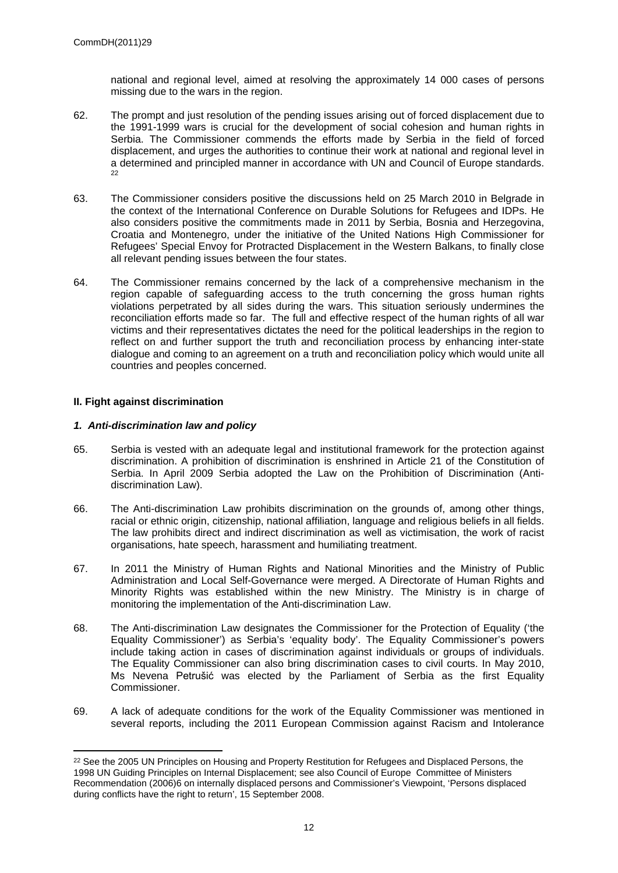national and regional level, aimed at resolving the approximately 14 000 cases of persons missing due to the wars in the region.

- 62. The prompt and just resolution of the pending issues arising out of forced displacement due to the 1991-1999 wars is crucial for the development of social cohesion and human rights in Serbia. The Commissioner commends the efforts made by Serbia in the field of forced displacement, and urges the authorities to continue their work at national and regional level in a determined and principled manner in accordance with UN and Council of Europe standards. 22
- 63. The Commissioner considers positive the discussions held on 25 March 2010 in Belgrade in the context of the International Conference on Durable Solutions for Refugees and IDPs. He also considers positive the commitments made in 2011 by Serbia, Bosnia and Herzegovina, Croatia and Montenegro, under the initiative of the United Nations High Commissioner for Refugees' Special Envoy for Protracted Displacement in the Western Balkans, to finally close all relevant pending issues between the four states.
- 64. The Commissioner remains concerned by the lack of a comprehensive mechanism in the region capable of safeguarding access to the truth concerning the gross human rights violations perpetrated by all sides during the wars. This situation seriously undermines the reconciliation efforts made so far. The full and effective respect of the human rights of all war victims and their representatives dictates the need for the political leaderships in the region to reflect on and further support the truth and reconciliation process by enhancing inter-state dialogue and coming to an agreement on a truth and reconciliation policy which would unite all countries and peoples concerned.

#### **II. Fight against discrimination**

#### *1. Anti-discrimination law and policy*

- 65. Serbia is vested with an adequate legal and institutional framework for the protection against discrimination. A prohibition of discrimination is enshrined in Article 21 of the Constitution of Serbia. In April 2009 Serbia adopted the Law on the Prohibition of Discrimination (Antidiscrimination Law).
- 66. The Anti-discrimination Law prohibits discrimination on the grounds of, among other things, racial or ethnic origin, citizenship, national affiliation, language and religious beliefs in all fields. The law prohibits direct and indirect discrimination as well as victimisation, the work of racist organisations, hate speech, harassment and humiliating treatment.
- 67. In 2011 the Ministry of Human Rights and National Minorities and the Ministry of Public Administration and Local Self-Governance were merged. A Directorate of Human Rights and Minority Rights was established within the new Ministry. The Ministry is in charge of monitoring the implementation of the Anti-discrimination Law.
- 68. The Anti-discrimination Law designates the Commissioner for the Protection of Equality ('the Equality Commissioner') as Serbia's 'equality body'. The Equality Commissioner's powers include taking action in cases of discrimination against individuals or groups of individuals. The Equality Commissioner can also bring discrimination cases to civil courts. In May 2010, Ms Nevena Petrušić was elected by the Parliament of Serbia as the first Equality Commissioner.
- 69. A lack of adequate conditions for the work of the Equality Commissioner was mentioned in several reports, including the 2011 European Commission against Racism and Intolerance

<sup>&</sup>lt;sup>22</sup> See the 2005 UN Principles on Housing and Property Restitution for Refugees and Displaced Persons, the 1998 UN Guiding Principles on Internal Displacement; see also Council of Europe Committee of Ministers Recommendation (2006)6 on internally displaced persons and Commissioner's Viewpoint, 'Persons displaced during conflicts have the right to return', 15 September 2008.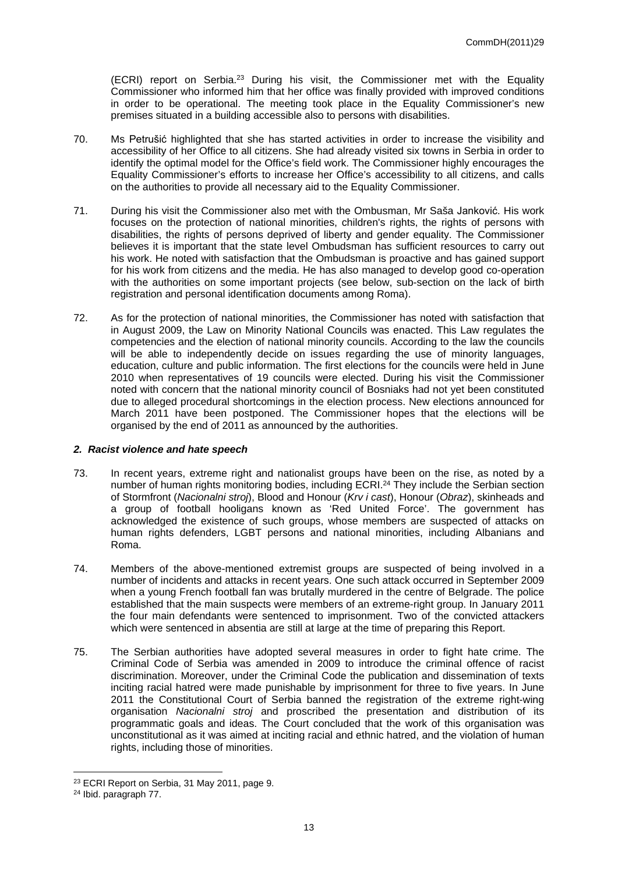(ECRI) report on Serbia.<sup>23</sup> During his visit, the Commissioner met with the Equality Commissioner who informed him that her office was finally provided with improved conditions in order to be operational. The meeting took place in the Equality Commissioner's new premises situated in a building accessible also to persons with disabilities.

- 70. Ms Petrušić highlighted that she has started activities in order to increase the visibility and accessibility of her Office to all citizens. She had already visited six towns in Serbia in order to identify the optimal model for the Office's field work. The Commissioner highly encourages the Equality Commissioner's efforts to increase her Office's accessibility to all citizens, and calls on the authorities to provide all necessary aid to the Equality Commissioner.
- 71. During his visit the Commissioner also met with the Ombusman, Mr Saša Janković. His work focuses on the protection of national minorities, children's rights, the rights of persons with disabilities, the rights of persons deprived of liberty and gender equality. The Commissioner believes it is important that the state level Ombudsman has sufficient resources to carry out his work. He noted with satisfaction that the Ombudsman is proactive and has gained support for his work from citizens and the media. He has also managed to develop good co-operation with the authorities on some important projects (see below, sub-section on the lack of birth registration and personal identification documents among Roma).
- 72. As for the protection of national minorities, the Commissioner has noted with satisfaction that in August 2009, the Law on Minority National Councils was enacted. This Law regulates the competencies and the election of national minority councils. According to the law the councils will be able to independently decide on issues regarding the use of minority languages, education, culture and public information. The first elections for the councils were held in June 2010 when representatives of 19 councils were elected. During his visit the Commissioner noted with concern that the national minority council of Bosniaks had not yet been constituted due to alleged procedural shortcomings in the election process. New elections announced for March 2011 have been postponed. The Commissioner hopes that the elections will be organised by the end of 2011 as announced by the authorities.

#### *2. Racist violence and hate speech*

- 73. In recent years, extreme right and nationalist groups have been on the rise, as noted by a number of human rights monitoring bodies, including ECRI.<sup>24</sup> They include the Serbian section of Stormfront (*Nacionalni stroj*), Blood and Honour (*Krv i cast*), Honour (*Obraz*), skinheads and a group of football hooligans known as 'Red United Force'. The government has acknowledged the existence of such groups, whose members are suspected of attacks on human rights defenders, LGBT persons and national minorities, including Albanians and Roma.
- 74. Members of the above-mentioned extremist groups are suspected of being involved in a number of incidents and attacks in recent years. One such attack occurred in September 2009 when a young French football fan was brutally murdered in the centre of Belgrade. The police established that the main suspects were members of an extreme-right group. In January 2011 the four main defendants were sentenced to imprisonment. Two of the convicted attackers which were sentenced in absentia are still at large at the time of preparing this Report.
- 75. The Serbian authorities have adopted several measures in order to fight hate crime. The Criminal Code of Serbia was amended in 2009 to introduce the criminal offence of racist discrimination. Moreover, under the Criminal Code the publication and dissemination of texts inciting racial hatred were made punishable by imprisonment for three to five years. In June 2011 the Constitutional Court of Serbia banned the registration of the extreme right-wing organisation *Nacionalni stroj* and proscribed the presentation and distribution of its programmatic goals and ideas. The Court concluded that the work of this organisation was unconstitutional as it was aimed at inciting racial and ethnic hatred, and the violation of human rights, including those of minorities.

<sup>23</sup> ECRI Report on Serbia, 31 May 2011, page 9.

<sup>24</sup> Ibid. paragraph 77.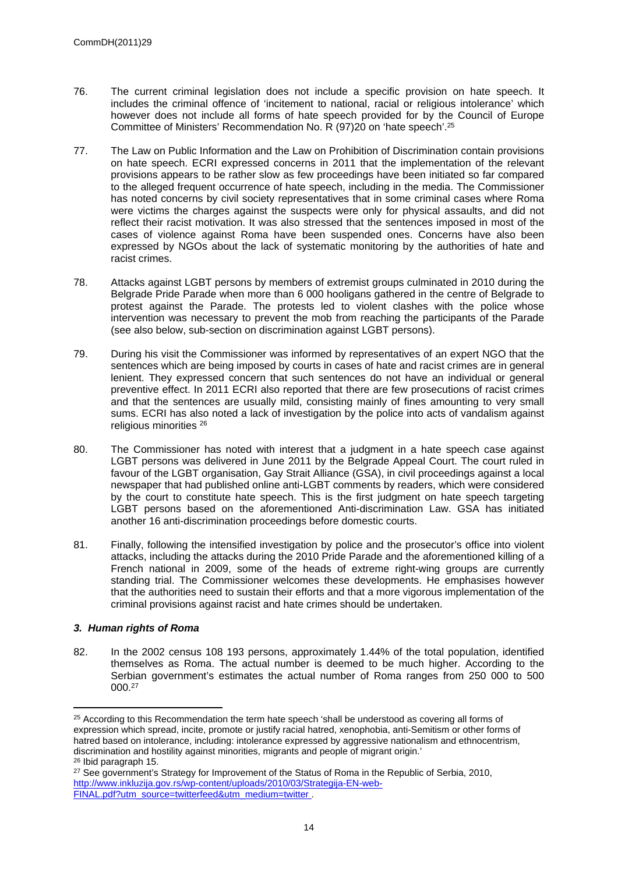- 76. The current criminal legislation does not include a specific provision on hate speech. It includes the criminal offence of 'incitement to national, racial or religious intolerance' which however does not include all forms of hate speech provided for by the Council of Europe Committee of Ministers' Recommendation No. R (97)20 on 'hate speech'.<sup>25</sup>
- 77. The Law on Public Information and the Law on Prohibition of Discrimination contain provisions on hate speech. ECRI expressed concerns in 2011 that the implementation of the relevant provisions appears to be rather slow as few proceedings have been initiated so far compared to the alleged frequent occurrence of hate speech, including in the media. The Commissioner has noted concerns by civil society representatives that in some criminal cases where Roma were victims the charges against the suspects were only for physical assaults, and did not reflect their racist motivation. It was also stressed that the sentences imposed in most of the cases of violence against Roma have been suspended ones. Concerns have also been expressed by NGOs about the lack of systematic monitoring by the authorities of hate and racist crimes.
- 78. Attacks against LGBT persons by members of extremist groups culminated in 2010 during the Belgrade Pride Parade when more than 6 000 hooligans gathered in the centre of Belgrade to protest against the Parade. The protests led to violent clashes with the police whose intervention was necessary to prevent the mob from reaching the participants of the Parade (see also below, sub-section on discrimination against LGBT persons).
- 79. During his visit the Commissioner was informed by representatives of an expert NGO that the sentences which are being imposed by courts in cases of hate and racist crimes are in general lenient. They expressed concern that such sentences do not have an individual or general preventive effect. In 2011 ECRI also reported that there are few prosecutions of racist crimes and that the sentences are usually mild, consisting mainly of fines amounting to very small sums. ECRI has also noted a lack of investigation by the police into acts of vandalism against religious minorities <sup>26</sup>
- 80. The Commissioner has noted with interest that a judgment in a hate speech case against LGBT persons was delivered in June 2011 by the Belgrade Appeal Court. The court ruled in favour of the LGBT organisation, Gay Strait Alliance (GSA), in civil proceedings against a local newspaper that had published online anti-LGBT comments by readers, which were considered by the court to constitute hate speech. This is the first judgment on hate speech targeting LGBT persons based on the aforementioned Anti-discrimination Law. GSA has initiated another 16 anti-discrimination proceedings before domestic courts.
- 81. Finally, following the intensified investigation by police and the prosecutor's office into violent attacks, including the attacks during the 2010 Pride Parade and the aforementioned killing of a French national in 2009, some of the heads of extreme right-wing groups are currently standing trial. The Commissioner welcomes these developments. He emphasises however that the authorities need to sustain their efforts and that a more vigorous implementation of the criminal provisions against racist and hate crimes should be undertaken.

#### *3. Human rights of Roma*

82. In the 2002 census 108 193 persons, approximately 1.44% of the total population, identified themselves as Roma. The actual number is deemed to be much higher. According to the Serbian government's estimates the actual number of Roma ranges from 250 000 to 500 000.<sup>27</sup>

<sup>&</sup>lt;sup>25</sup> According to this Recommendation the term hate speech 'shall be understood as covering all forms of expression which spread, incite, promote or justify racial hatred, xenophobia, anti-Semitism or other forms of hatred based on intolerance, including: intolerance expressed by aggressive nationalism and ethnocentrism, discrimination and hostility against minorities, migrants and people of migrant origin.' <sup>26</sup> Ibid paragraph 15.

<sup>&</sup>lt;sup>27</sup> See government's Strategy for Improvement of the Status of Roma in the Republic of Serbia, 2010, [http://www.inkluzija.gov.rs/wp-content/uploads/2010/03/Strategija-EN-web-](http://www.inkluzija.gov.rs/wp-content/uploads/2010/03/Strategija-EN-web-FINAL.pdf?utm_source=twitterfeed&utm_medium=twitter%20%20)[FINAL.pdf?utm\\_source=twitterfeed&utm\\_medium=twitter](http://www.inkluzija.gov.rs/wp-content/uploads/2010/03/Strategija-EN-web-FINAL.pdf?utm_source=twitterfeed&utm_medium=twitter%20%20) .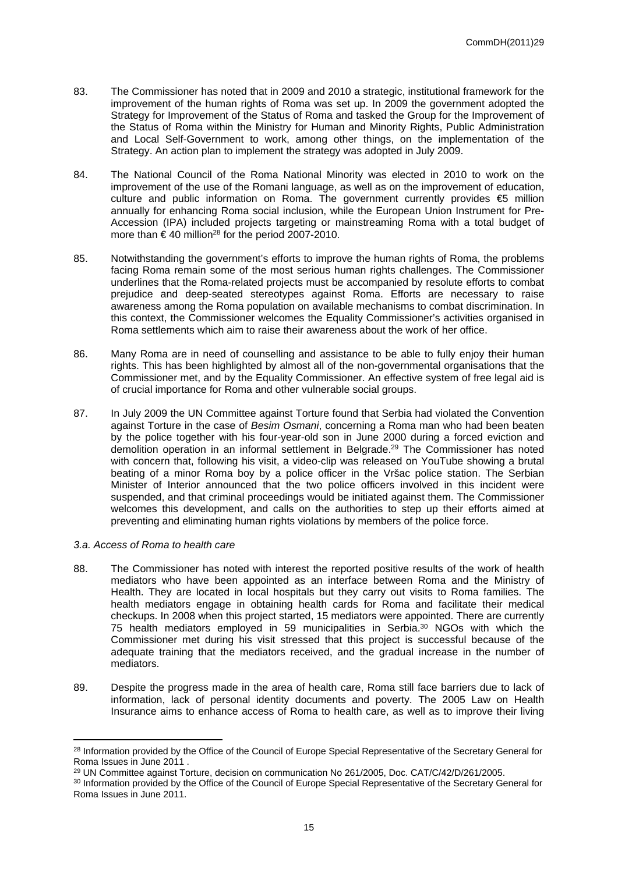- 83. The Commissioner has noted that in 2009 and 2010 a strategic, institutional framework for the improvement of the human rights of Roma was set up. In 2009 the government adopted the Strategy for Improvement of the Status of Roma and tasked the Group for the Improvement of the Status of Roma within the Ministry for Human and Minority Rights, Public Administration and Local Self-Government to work, among other things, on the implementation of the Strategy. An action plan to implement the strategy was adopted in July 2009.
- 84. The National Council of the Roma National Minority was elected in 2010 to work on the improvement of the use of the Romani language, as well as on the improvement of education, culture and public information on Roma. The government currently provides €5 million annually for enhancing Roma social inclusion, while the European Union Instrument for Pre-Accession (IPA) included projects targeting or mainstreaming Roma with a total budget of more than  $\in$  40 million<sup>28</sup> for the period 2007-2010.
- 85. Notwithstanding the government's efforts to improve the human rights of Roma, the problems facing Roma remain some of the most serious human rights challenges. The Commissioner underlines that the Roma-related projects must be accompanied by resolute efforts to combat prejudice and deep-seated stereotypes against Roma. Efforts are necessary to raise awareness among the Roma population on available mechanisms to combat discrimination. In this context, the Commissioner welcomes the Equality Commissioner's activities organised in Roma settlements which aim to raise their awareness about the work of her office.
- 86. Many Roma are in need of counselling and assistance to be able to fully enjoy their human rights. This has been highlighted by almost all of the non-governmental organisations that the Commissioner met, and by the Equality Commissioner. An effective system of free legal aid is of crucial importance for Roma and other vulnerable social groups.
- 87. In July 2009 the UN Committee against Torture found that Serbia had violated the Convention against Torture in the case of *Besim Osmani*, concerning a Roma man who had been beaten by the police together with his four-year-old son in June 2000 during a forced eviction and demolition operation in an informal settlement in Belgrade.<sup>29</sup> The Commissioner has noted with concern that, following his visit, a video-clip was released on YouTube showing a brutal beating of a minor Roma boy by a police officer in the Vršac police station. The Serbian Minister of Interior announced that the two police officers involved in this incident were suspended, and that criminal proceedings would be initiated against them. The Commissioner welcomes this development, and calls on the authorities to step up their efforts aimed at preventing and eliminating human rights violations by members of the police force.

#### *3.a. Access of Roma to health care*

- 88. The Commissioner has noted with interest the reported positive results of the work of health mediators who have been appointed as an interface between Roma and the Ministry of Health. They are located in local hospitals but they carry out visits to Roma families. The health mediators engage in obtaining health cards for Roma and facilitate their medical checkups. In 2008 when this project started, 15 mediators were appointed. There are currently 75 health mediators employed in 59 municipalities in Serbia.<sup>30</sup> NGOs with which the Commissioner met during his visit stressed that this project is successful because of the adequate training that the mediators received, and the gradual increase in the number of mediators.
- 89. Despite the progress made in the area of health care, Roma still face barriers due to lack of information, lack of personal identity documents and poverty. The 2005 Law on Health Insurance aims to enhance access of Roma to health care, as well as to improve their living

<sup>&</sup>lt;sup>28</sup> Information provided by the Office of the Council of Europe Special Representative of the Secretary General for Roma Issues in June 2011 .

<sup>&</sup>lt;sup>29</sup> UN Committee against Torture, decision on communication No 261/2005, Doc. CAT/C/42/D/261/2005.

<sup>30</sup> Information provided by the Office of the Council of Europe Special Representative of the Secretary General for Roma Issues in June 2011.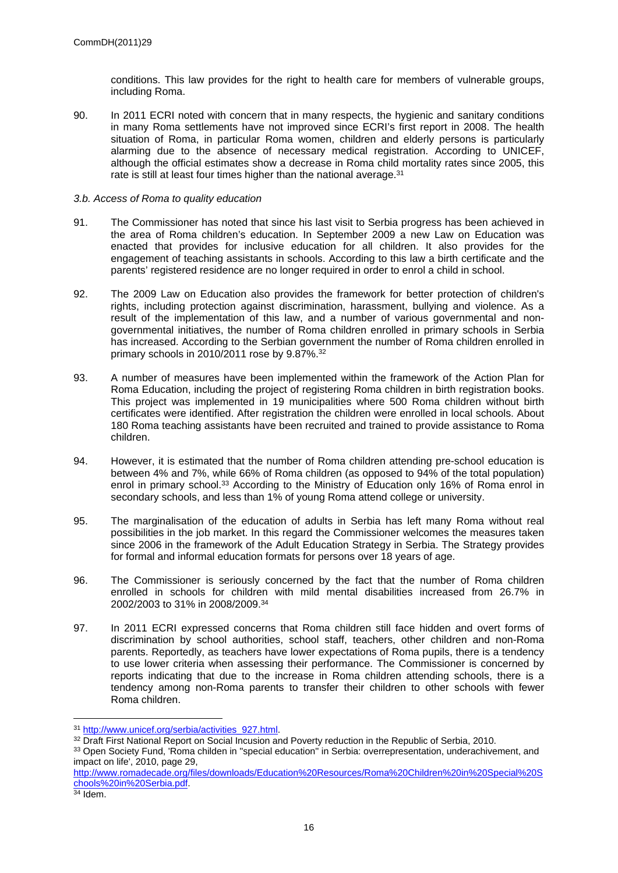conditions. This law provides for the right to health care for members of vulnerable groups, including Roma.

90. In 2011 ECRI noted with concern that in many respects, the hygienic and sanitary conditions in many Roma settlements have not improved since ECRI's first report in 2008. The health situation of Roma, in particular Roma women, children and elderly persons is particularly alarming due to the absence of necessary medical registration. According to UNICEF, although the official estimates show a decrease in Roma child mortality rates since 2005, this rate is still at least four times higher than the national average.<sup>31</sup>

#### *3.b. Access of Roma to quality education*

- 91. The Commissioner has noted that since his last visit to Serbia progress has been achieved in the area of Roma children's education. In September 2009 a new Law on Education was enacted that provides for inclusive education for all children. It also provides for the engagement of teaching assistants in schools. According to this law a birth certificate and the parents' registered residence are no longer required in order to enrol a child in school.
- 92. The 2009 Law on Education also provides the framework for better protection of children's rights, including protection against discrimination, harassment, bullying and violence. As a result of the implementation of this law, and a number of various governmental and nongovernmental initiatives, the number of Roma children enrolled in primary schools in Serbia has increased. According to the Serbian government the number of Roma children enrolled in primary schools in 2010/2011 rose by 9.87%.<sup>32</sup>
- 93. A number of measures have been implemented within the framework of the Action Plan for Roma Education, including the project of registering Roma children in birth registration books. This project was implemented in 19 municipalities where 500 Roma children without birth certificates were identified. After registration the children were enrolled in local schools. About 180 Roma teaching assistants have been recruited and trained to provide assistance to Roma children.
- 94. However, it is estimated that the number of Roma children attending pre-school education is between 4% and 7%, while 66% of Roma children (as opposed to 94% of the total population) enrol in primary school.<sup>33</sup> According to the Ministry of Education only 16% of Roma enrol in secondary schools, and less than 1% of young Roma attend college or university.
- 95. The marginalisation of the education of adults in Serbia has left many Roma without real possibilities in the job market. In this regard the Commissioner welcomes the measures taken since 2006 in the framework of the Adult Education Strategy in Serbia. The Strategy provides for formal and informal education formats for persons over 18 years of age.
- 96. The Commissioner is seriously concerned by the fact that the number of Roma children enrolled in schools for children with mild mental disabilities increased from 26.7% in 2002/2003 to 31% in 2008/2009.<sup>34</sup>
- 97. In 2011 ECRI expressed concerns that Roma children still face hidden and overt forms of discrimination by school authorities, school staff, teachers, other children and non-Roma parents. Reportedly, as teachers have lower expectations of Roma pupils, there is a tendency to use lower criteria when assessing their performance. The Commissioner is concerned by reports indicating that due to the increase in Roma children attending schools, there is a tendency among non-Roma parents to transfer their children to other schools with fewer Roma children.

<sup>31</sup> [http://www.unicef.org/serbia/activities\\_927.html.](http://www.unicef.org/serbia/activities_927.html)

<sup>&</sup>lt;sup>32</sup> Draft First National Report on Social Incusion and Poverty reduction in the Republic of Serbia, 2010.

<sup>33</sup> Open Society Fund, 'Roma childen in ''special education'' in Serbia: overrepresentation, underachivement, and impact on life', 2010, page 29,

[http://www.romadecade.org/files/downloads/Education%20Resources/Roma%20Children%20in%20Special%20S](http://www.romadecade.org/files/downloads/Education%20Resources/Roma%20Children%20in%20Special%20Schools%20in%20Serbia.pdf) [chools%20in%20Serbia.pdf.](http://www.romadecade.org/files/downloads/Education%20Resources/Roma%20Children%20in%20Special%20Schools%20in%20Serbia.pdf)

 $34$  Idem.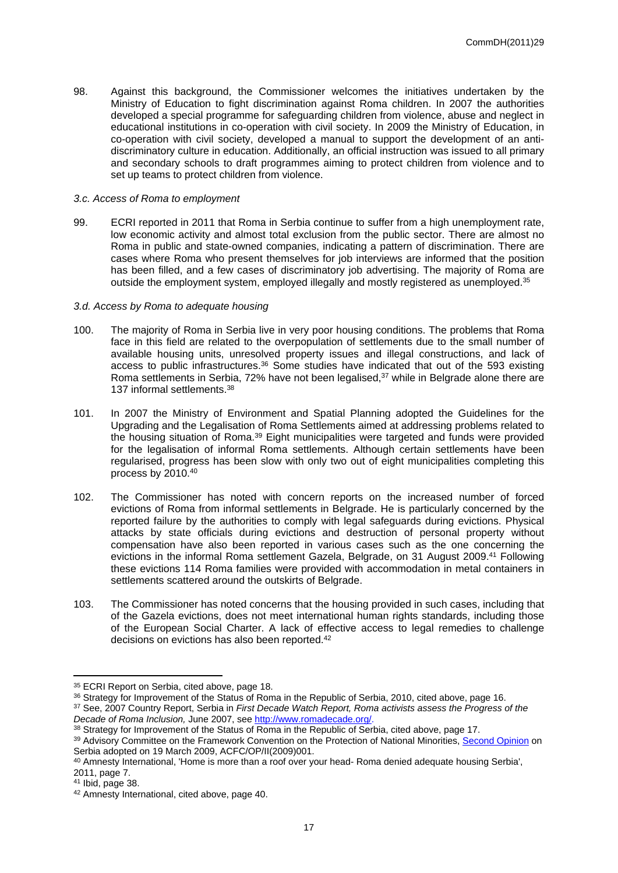98. Against this background, the Commissioner welcomes the initiatives undertaken by the Ministry of Education to fight discrimination against Roma children. In 2007 the authorities developed a special programme for safeguarding children from violence, abuse and neglect in educational institutions in co-operation with civil society. In 2009 the Ministry of Education, in co-operation with civil society, developed a manual to support the development of an antidiscriminatory culture in education. Additionally, an official instruction was issued to all primary and secondary schools to draft programmes aiming to protect children from violence and to set up teams to protect children from violence.

#### *3.c. Access of Roma to employment*

99. ECRI reported in 2011 that Roma in Serbia continue to suffer from a high unemployment rate, low economic activity and almost total exclusion from the public sector. There are almost no Roma in public and state-owned companies, indicating a pattern of discrimination. There are cases where Roma who present themselves for job interviews are informed that the position has been filled, and a few cases of discriminatory job advertising. The majority of Roma are outside the employment system, employed illegally and mostly registered as unemployed.<sup>35</sup>

#### *3.d. Access by Roma to adequate housing*

- 100. The majority of Roma in Serbia live in very poor housing conditions. The problems that Roma face in this field are related to the overpopulation of settlements due to the small number of available housing units, unresolved property issues and illegal constructions, and lack of access to public infrastructures.<sup>36</sup> Some studies have indicated that out of the 593 existing Roma settlements in Serbia, 72% have not been legalised, $37$  while in Belgrade alone there are 137 informal settlements.<sup>38</sup>
- 101. In 2007 the Ministry of Environment and Spatial Planning adopted the Guidelines for the Upgrading and the Legalisation of Roma Settlements aimed at addressing problems related to the housing situation of Roma.<sup>39</sup> Eight municipalities were targeted and funds were provided for the legalisation of informal Roma settlements. Although certain settlements have been regularised, progress has been slow with only two out of eight municipalities completing this process by 2010.<sup>40</sup>
- 102. The Commissioner has noted with concern reports on the increased number of forced evictions of Roma from informal settlements in Belgrade. He is particularly concerned by the reported failure by the authorities to comply with legal safeguards during evictions. Physical attacks by state officials during evictions and destruction of personal property without compensation have also been reported in various cases such as the one concerning the evictions in the informal Roma settlement Gazela, Belgrade, on 31 August 2009.<sup>41</sup> Following these evictions 114 Roma families were provided with accommodation in metal containers in settlements scattered around the outskirts of Belgrade.
- 103. The Commissioner has noted concerns that the housing provided in such cases, including that of the Gazela evictions, does not meet international human rights standards, including those of the European Social Charter. A lack of effective access to legal remedies to challenge decisions on evictions has also been reported.<sup>42</sup>

<sup>&</sup>lt;sup>35</sup> ECRI Report on Serbia, cited above, page 18.

<sup>36</sup> Strategy for Improvement of the Status of Roma in the Republic of Serbia, 2010, cited above, page 16. <sup>37</sup> See, 2007 Country Report, Serbia in *First Decade Watch Report, Roma activists assess the Progress of the Decade of Roma Inclusion,* June 2007, see <http://www.romadecade.org/>.

<sup>38</sup> Strategy for Improvement of the Status of Roma in the Republic of Serbia, cited above, page 17.

<sup>39</sup> Advisory Committee on the Framework Convention on the Protection of National Minorities, [Second Opinion](http://www.coe.int/t/dghl/monitoring/minorities/3_FCNMdocs/PDF_2nd_OP_Serbia_en.pdf) on Serbia adopted on 19 March 2009, ACFC/OP/II(2009)001.

<sup>40</sup> Amnesty International, 'Home is more than a roof over your head- Roma denied adequate housing Serbia', 2011, page 7.

<sup>41</sup> Ibid, page 38.

<sup>42</sup> Amnesty International, cited above, page 40.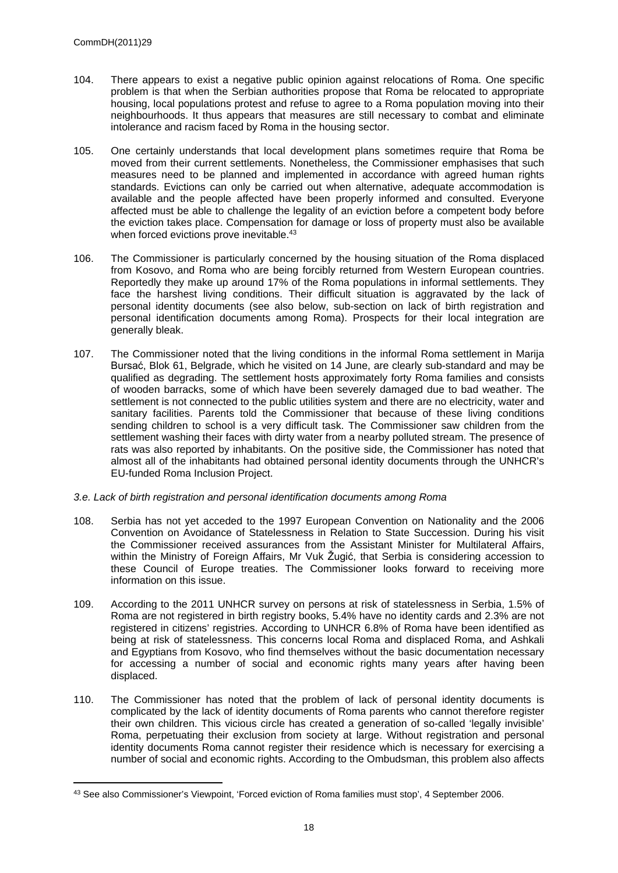- 104. There appears to exist a negative public opinion against relocations of Roma. One specific problem is that when the Serbian authorities propose that Roma be relocated to appropriate housing, local populations protest and refuse to agree to a Roma population moving into their neighbourhoods. It thus appears that measures are still necessary to combat and eliminate intolerance and racism faced by Roma in the housing sector.
- 105. One certainly understands that local development plans sometimes require that Roma be moved from their current settlements. Nonetheless, the Commissioner emphasises that such measures need to be planned and implemented in accordance with agreed human rights standards. Evictions can only be carried out when alternative, adequate accommodation is available and the people affected have been properly informed and consulted. Everyone affected must be able to challenge the legality of an eviction before a competent body before the eviction takes place. Compensation for damage or loss of property must also be available when forced evictions prove inevitable.<sup>43</sup>
- 106. The Commissioner is particularly concerned by the housing situation of the Roma displaced from Kosovo, and Roma who are being forcibly returned from Western European countries. Reportedly they make up around 17% of the Roma populations in informal settlements. They face the harshest living conditions. Their difficult situation is aggravated by the lack of personal identity documents (see also below, sub-section on lack of birth registration and personal identification documents among Roma). Prospects for their local integration are generally bleak.
- 107. The Commissioner noted that the living conditions in the informal Roma settlement in Marija Bursać, Blok 61, Belgrade, which he visited on 14 June, are clearly sub-standard and may be qualified as degrading. The settlement hosts approximately forty Roma families and consists of wooden barracks, some of which have been severely damaged due to bad weather. The settlement is not connected to the public utilities system and there are no electricity, water and sanitary facilities. Parents told the Commissioner that because of these living conditions sending children to school is a very difficult task. The Commissioner saw children from the settlement washing their faces with dirty water from a nearby polluted stream. The presence of rats was also reported by inhabitants. On the positive side, the Commissioner has noted that almost all of the inhabitants had obtained personal identity documents through the UNHCR's EU-funded Roma Inclusion Project.
- *3.e. Lack of birth registration and personal identification documents among Roma*
- 108. Serbia has not yet acceded to the 1997 European Convention on Nationality and the 2006 Convention on Avoidance of Statelessness in Relation to State Succession. During his visit the Commissioner received assurances from the Assistant Minister for Multilateral Affairs, within the Ministry of Foreign Affairs, Mr Vuk Žugić, that Serbia is considering accession to these Council of Europe treaties. The Commissioner looks forward to receiving more information on this issue.
- 109. According to the 2011 UNHCR survey on persons at risk of statelessness in Serbia, 1.5% of Roma are not registered in birth registry books, 5.4% have no identity cards and 2.3% are not registered in citizens' registries. According to UNHCR 6.8% of Roma have been identified as being at risk of statelessness. This concerns local Roma and displaced Roma, and Ashkali and Egyptians from Kosovo, who find themselves without the basic documentation necessary for accessing a number of social and economic rights many years after having been displaced.
- 110. The Commissioner has noted that the problem of lack of personal identity documents is complicated by the lack of identity documents of Roma parents who cannot therefore register their own children. This vicious circle has created a generation of so-called 'legally invisible' Roma, perpetuating their exclusion from society at large. Without registration and personal identity documents Roma cannot register their residence which is necessary for exercising a number of social and economic rights. According to the Ombudsman, this problem also affects

<sup>43</sup> See also Commissioner's Viewpoint, 'Forced eviction of Roma families must stop', 4 September 2006.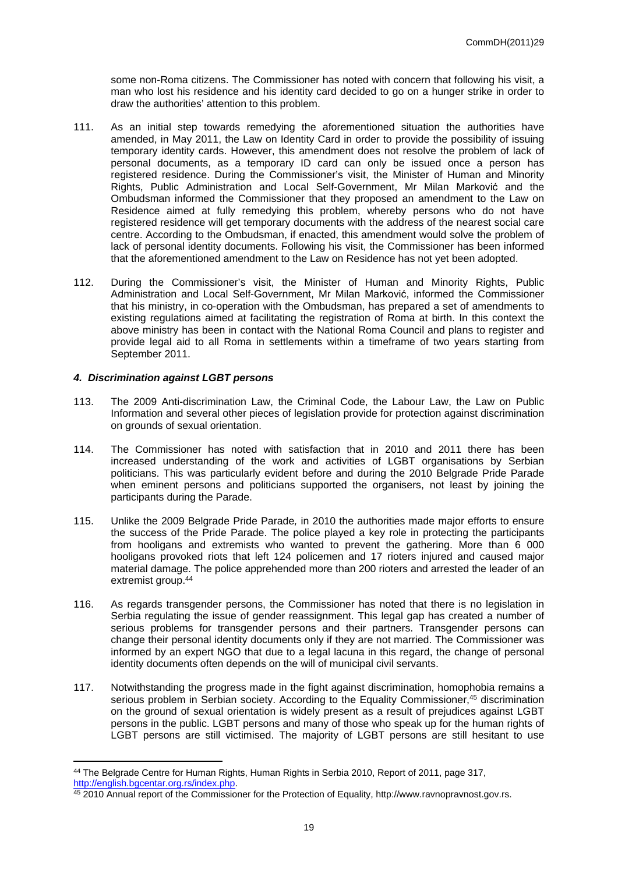some non-Roma citizens. The Commissioner has noted with concern that following his visit, a man who lost his residence and his identity card decided to go on a hunger strike in order to draw the authorities' attention to this problem.

- 111. As an initial step towards remedying the aforementioned situation the authorities have amended, in May 2011, the Law on Identity Card in order to provide the possibility of issuing temporary identity cards. However, this amendment does not resolve the problem of lack of personal documents, as a temporary ID card can only be issued once a person has registered residence. During the Commissioner's visit, the Minister of Human and Minority Rights, Public Administration and Local Self-Government, Mr Milan Marković and the Ombudsman informed the Commissioner that they proposed an amendment to the Law on Residence aimed at fully remedying this problem, whereby persons who do not have registered residence will get temporary documents with the address of the nearest social care centre. According to the Ombudsman, if enacted, this amendment would solve the problem of lack of personal identity documents. Following his visit, the Commissioner has been informed that the aforementioned amendment to the Law on Residence has not yet been adopted.
- 112. During the Commissioner's visit, the Minister of Human and Minority Rights, Public Administration and Local Self-Government, Mr Milan Marković, informed the Commissioner that his ministry, in co-operation with the Ombudsman, has prepared a set of amendments to existing regulations aimed at facilitating the registration of Roma at birth. In this context the above ministry has been in contact with the National Roma Council and plans to register and provide legal aid to all Roma in settlements within a timeframe of two years starting from September 2011.

#### *4. Discrimination against LGBT persons*

- 113. The 2009 Anti-discrimination Law, the Criminal Code, the Labour Law, the Law on Public Information and several other pieces of legislation provide for protection against discrimination on grounds of sexual orientation.
- 114. The Commissioner has noted with satisfaction that in 2010 and 2011 there has been increased understanding of the work and activities of LGBT organisations by Serbian politicians. This was particularly evident before and during the 2010 Belgrade Pride Parade when eminent persons and politicians supported the organisers, not least by joining the participants during the Parade.
- 115. Unlike the 2009 Belgrade Pride Parade*,* in 2010 the authorities made major efforts to ensure the success of the Pride Parade. The police played a key role in protecting the participants from hooligans and extremists who wanted to prevent the gathering. More than 6 000 hooligans provoked riots that left 124 policemen and 17 rioters injured and caused major material damage. The police apprehended more than 200 rioters and arrested the leader of an extremist group.<sup>44</sup>
- 116. As regards transgender persons, the Commissioner has noted that there is no legislation in Serbia regulating the issue of gender reassignment. This legal gap has created a number of serious problems for transgender persons and their partners. Transgender persons can change their personal identity documents only if they are not married. The Commissioner was informed by an expert NGO that due to a legal lacuna in this regard, the change of personal identity documents often depends on the will of municipal civil servants.
- 117. Notwithstanding the progress made in the fight against discrimination, homophobia remains a serious problem in Serbian society. According to the Equality Commissioner,<sup>45</sup> discrimination on the ground of sexual orientation is widely present as a result of prejudices against LGBT persons in the public. LGBT persons and many of those who speak up for the human rights of LGBT persons are still victimised. The majority of LGBT persons are still hesitant to use

<sup>44</sup> The Belgrade Centre for Human Rights, Human Rights in Serbia 2010, Report of 2011, page 317, <http://english.bgcentar.org.rs/index.php>.

<sup>45</sup> 2010 Annual report of the Commissioner for the Protection of Equality, http://www.ravnopravnost.gov.rs.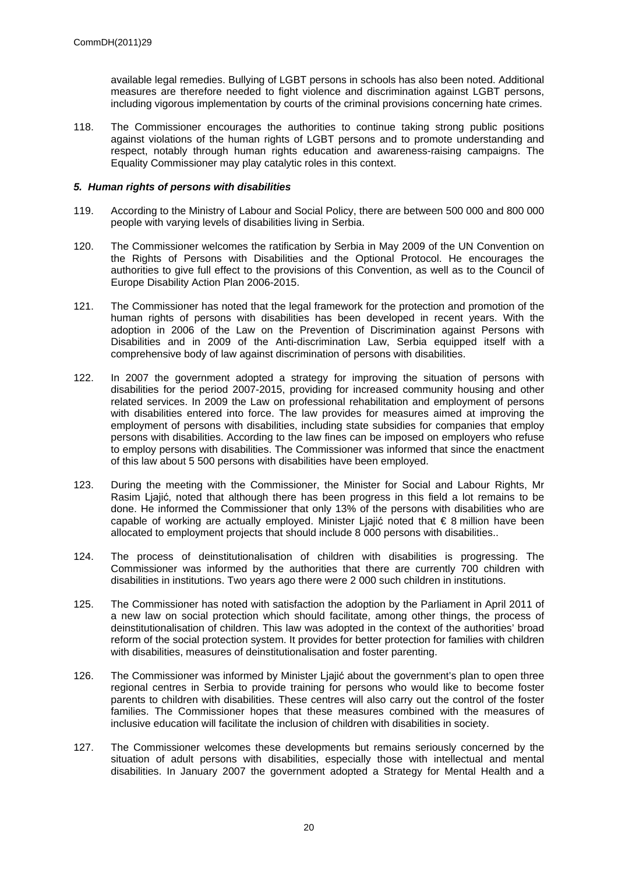available legal remedies. Bullying of LGBT persons in schools has also been noted. Additional measures are therefore needed to fight violence and discrimination against LGBT persons, including vigorous implementation by courts of the criminal provisions concerning hate crimes.

118. The Commissioner encourages the authorities to continue taking strong public positions against violations of the human rights of LGBT persons and to promote understanding and respect, notably through human rights education and awareness-raising campaigns. The Equality Commissioner may play catalytic roles in this context.

#### *5. Human rights of persons with disabilities*

- 119. According to the Ministry of Labour and Social Policy, there are between 500 000 and 800 000 people with varying levels of disabilities living in Serbia.
- 120. The Commissioner welcomes the ratification by Serbia in May 2009 of the UN Convention on the Rights of Persons with Disabilities and the Optional Protocol. He encourages the authorities to give full effect to the provisions of this Convention, as well as to the Council of Europe Disability Action Plan 2006-2015.
- 121. The Commissioner has noted that the legal framework for the protection and promotion of the human rights of persons with disabilities has been developed in recent years. With the adoption in 2006 of the Law on the Prevention of Discrimination against Persons with Disabilities and in 2009 of the Anti-discrimination Law, Serbia equipped itself with a comprehensive body of law against discrimination of persons with disabilities.
- 122. In 2007 the government adopted a strategy for improving the situation of persons with disabilities for the period 2007-2015, providing for increased community housing and other related services. In 2009 the Law on professional rehabilitation and employment of persons with disabilities entered into force. The law provides for measures aimed at improving the employment of persons with disabilities, including state subsidies for companies that employ persons with disabilities. According to the law fines can be imposed on employers who refuse to employ persons with disabilities. The Commissioner was informed that since the enactment of this law about 5 500 persons with disabilities have been employed.
- 123. During the meeting with the Commissioner, the Minister for Social and Labour Rights, Mr Rasim Ljajić, noted that although there has been progress in this field a lot remains to be done. He informed the Commissioner that only 13% of the persons with disabilities who are capable of working are actually employed. Minister Liaiić noted that  $\epsilon$  8 million have been allocated to employment projects that should include 8 000 persons with disabilities..
- 124. The process of deinstitutionalisation of children with disabilities is progressing. The Commissioner was informed by the authorities that there are currently 700 children with disabilities in institutions. Two years ago there were 2 000 such children in institutions.
- 125. The Commissioner has noted with satisfaction the adoption by the Parliament in April 2011 of a new law on social protection which should facilitate, among other things, the process of deinstitutionalisation of children. This law was adopted in the context of the authorities' broad reform of the social protection system. It provides for better protection for families with children with disabilities, measures of deinstitutionalisation and foster parenting.
- 126. The Commissioner was informed by Minister Ljajić about the government's plan to open three regional centres in Serbia to provide training for persons who would like to become foster parents to children with disabilities. These centres will also carry out the control of the foster families. The Commissioner hopes that these measures combined with the measures of inclusive education will facilitate the inclusion of children with disabilities in society.
- 127. The Commissioner welcomes these developments but remains seriously concerned by the situation of adult persons with disabilities, especially those with intellectual and mental disabilities. In January 2007 the government adopted a Strategy for Mental Health and a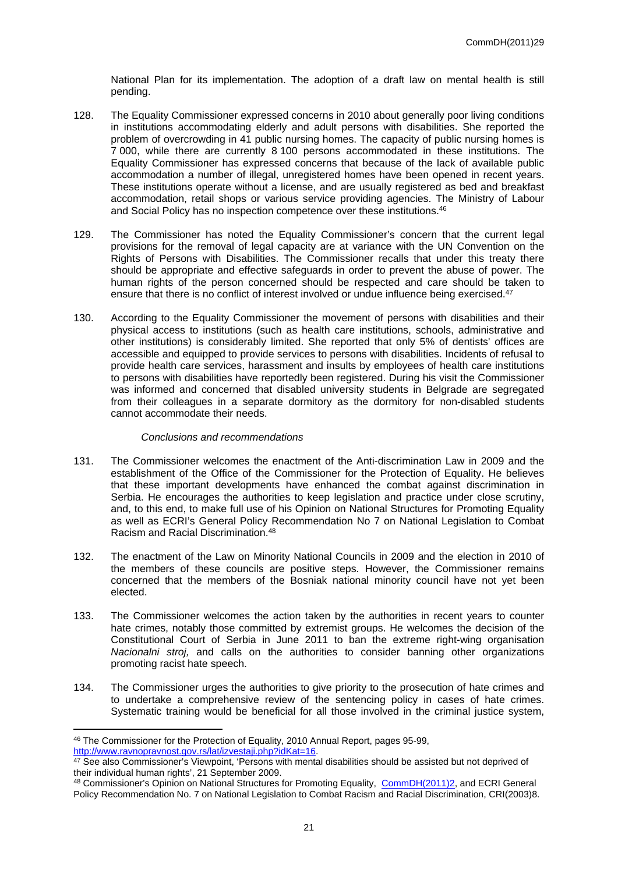National Plan for its implementation. The adoption of a draft law on mental health is still pending.

- 128. The Equality Commissioner expressed concerns in 2010 about generally poor living conditions in institutions accommodating elderly and adult persons with disabilities. She reported the problem of overcrowding in 41 public nursing homes. The capacity of public nursing homes is 7 000, while there are currently 8 100 persons accommodated in these institutions. The Equality Commissioner has expressed concerns that because of the lack of available public accommodation a number of illegal, unregistered homes have been opened in recent years. These institutions operate without a license, and are usually registered as bed and breakfast accommodation, retail shops or various service providing agencies. The Ministry of Labour and Social Policy has no inspection competence over these institutions.<sup>46</sup>
- 129. The Commissioner has noted the Equality Commissioner's concern that the current legal provisions for the removal of legal capacity are at variance with the UN Convention on the Rights of Persons with Disabilities. The Commissioner recalls that under this treaty there should be appropriate and effective safeguards in order to prevent the abuse of power. The human rights of the person concerned should be respected and care should be taken to ensure that there is no conflict of interest involved or undue influence being exercised.<sup>47</sup>
- 130. According to the Equality Commissioner the movement of persons with disabilities and their physical access to institutions (such as health care institutions, schools, administrative and other institutions) is considerably limited. She reported that only 5% of dentists' offices are accessible and equipped to provide services to persons with disabilities. Incidents of refusal to provide health care services, harassment and insults by employees of health care institutions to persons with disabilities have reportedly been registered. During his visit the Commissioner was informed and concerned that disabled university students in Belgrade are segregated from their colleagues in a separate dormitory as the dormitory for non-disabled students cannot accommodate their needs.

#### *Conclusions and recommendations*

- 131. The Commissioner welcomes the enactment of the Anti-discrimination Law in 2009 and the establishment of the Office of the Commissioner for the Protection of Equality. He believes that these important developments have enhanced the combat against discrimination in Serbia. He encourages the authorities to keep legislation and practice under close scrutiny, and, to this end, to make full use of his Opinion on National Structures for Promoting Equality as well as ECRI's General Policy Recommendation No 7 on National Legislation to Combat Racism and Racial Discrimination.<sup>48</sup>
- 132. The enactment of the Law on Minority National Councils in 2009 and the election in 2010 of the members of these councils are positive steps. However, the Commissioner remains concerned that the members of the Bosniak national minority council have not yet been elected.
- 133. The Commissioner welcomes the action taken by the authorities in recent years to counter hate crimes, notably those committed by extremist groups. He welcomes the decision of the Constitutional Court of Serbia in June 2011 to ban the extreme right-wing organisation *Nacionalni stroj,* and calls on the authorities to consider banning other organizations promoting racist hate speech.
- 134. The Commissioner urges the authorities to give priority to the prosecution of hate crimes and to undertake a comprehensive review of the sentencing policy in cases of hate crimes. Systematic training would be beneficial for all those involved in the criminal justice system,

<sup>48</sup> Commissioner's Opinion on National Structures for Promoting Equality, [CommDH\(2011\)2](https://wcd.coe.int/wcd/ViewDoc.jsp?Ref=CommDH(2011)2&Language=lanEnglish&Site=CommDH&BackColorInternet=FEC65B&BackColorIntranet=FEC65B&BackColorLogged=FFC679), and ECRI General Policy Recommendation No. 7 on National Legislation to Combat Racism and Racial Discrimination, CRI(2003)8.

<sup>46</sup> The Commissioner for the Protection of Equality, 2010 Annual Report, pages 95-99, <http://www.ravnopravnost.gov.rs/lat/izvestaji.php?idKat=16>.

<sup>&</sup>lt;sup>47</sup> See also Commissioner's Viewpoint, 'Persons with mental disabilities should be assisted but not deprived of their individual human rights', 21 September 2009.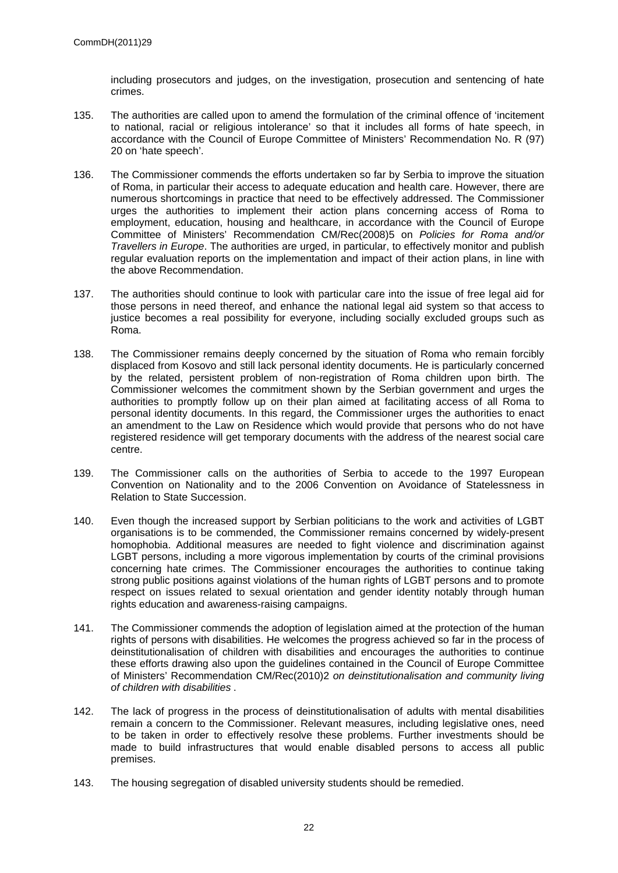including prosecutors and judges, on the investigation, prosecution and sentencing of hate crimes.

- 135. The authorities are called upon to amend the formulation of the criminal offence of 'incitement to national, racial or religious intolerance' so that it includes all forms of hate speech, in accordance with the Council of Europe Committee of Ministers' Recommendation No. R (97) 20 on 'hate speech'.
- 136. The Commissioner commends the efforts undertaken so far by Serbia to improve the situation of Roma, in particular their access to adequate education and health care. However, there are numerous shortcomings in practice that need to be effectively addressed. The Commissioner urges the authorities to implement their action plans concerning access of Roma to employment, education, housing and healthcare, in accordance with the Council of Europe Committee of Ministers' Recommendation CM/Rec(2008)5 on *Policies for Roma and/or Travellers in Europe*. The authorities are urged, in particular, to effectively monitor and publish regular evaluation reports on the implementation and impact of their action plans, in line with the above Recommendation.
- 137. The authorities should continue to look with particular care into the issue of free legal aid for those persons in need thereof, and enhance the national legal aid system so that access to justice becomes a real possibility for everyone, including socially excluded groups such as Roma.
- 138. The Commissioner remains deeply concerned by the situation of Roma who remain forcibly displaced from Kosovo and still lack personal identity documents. He is particularly concerned by the related, persistent problem of non-registration of Roma children upon birth. The Commissioner welcomes the commitment shown by the Serbian government and urges the authorities to promptly follow up on their plan aimed at facilitating access of all Roma to personal identity documents. In this regard, the Commissioner urges the authorities to enact an amendment to the Law on Residence which would provide that persons who do not have registered residence will get temporary documents with the address of the nearest social care centre.
- 139. The Commissioner calls on the authorities of Serbia to accede to the 1997 European Convention on Nationality and to the 2006 Convention on Avoidance of Statelessness in Relation to State Succession.
- 140. Even though the increased support by Serbian politicians to the work and activities of LGBT organisations is to be commended, the Commissioner remains concerned by widely-present homophobia. Additional measures are needed to fight violence and discrimination against LGBT persons, including a more vigorous implementation by courts of the criminal provisions concerning hate crimes. The Commissioner encourages the authorities to continue taking strong public positions against violations of the human rights of LGBT persons and to promote respect on issues related to sexual orientation and gender identity notably through human rights education and awareness-raising campaigns.
- 141. The Commissioner commends the adoption of legislation aimed at the protection of the human rights of persons with disabilities. He welcomes the progress achieved so far in the process of deinstitutionalisation of children with disabilities and encourages the authorities to continue these efforts drawing also upon the guidelines contained in the Council of Europe Committee of Ministers' Recommendation CM/Rec(2010)2 *[on deinstitutionalisation and community living](https://wcd.coe.int/ViewDoc.jsp?Ref=CM/Rec(2010)2&Language=lanEnglish&Ver=original&Site=CM&BackColorInternet=C3C3C3&BackColorIntranet=EDB021&BackColorLogged=F5D383)  [of children with disabilities](https://wcd.coe.int/ViewDoc.jsp?Ref=CM/Rec(2010)2&Language=lanEnglish&Ver=original&Site=CM&BackColorInternet=C3C3C3&BackColorIntranet=EDB021&BackColorLogged=F5D383)* .
- 142. The lack of progress in the process of deinstitutionalisation of adults with mental disabilities remain a concern to the Commissioner. Relevant measures, including legislative ones, need to be taken in order to effectively resolve these problems. Further investments should be made to build infrastructures that would enable disabled persons to access all public premises.
- 143. The housing segregation of disabled university students should be remedied.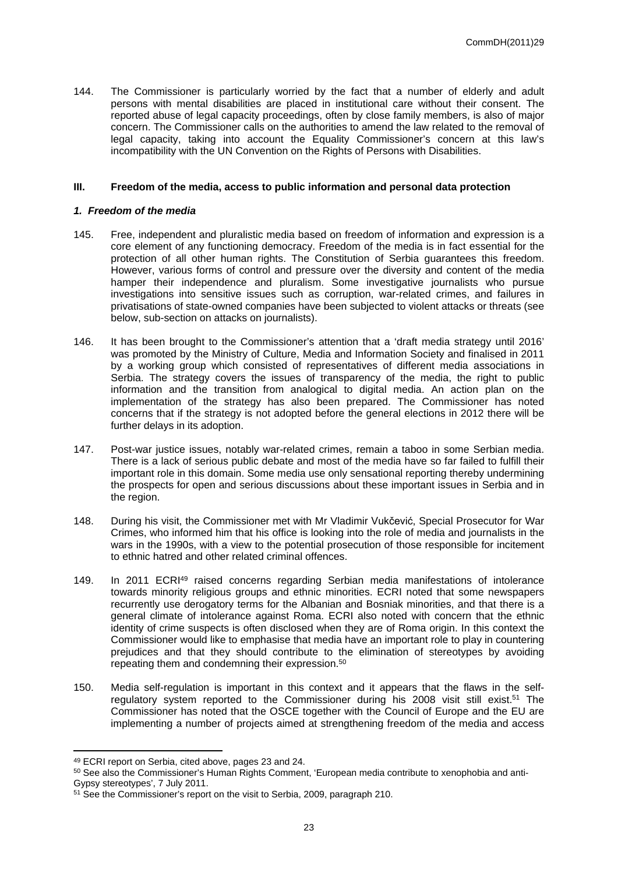144. The Commissioner is particularly worried by the fact that a number of elderly and adult persons with mental disabilities are placed in institutional care without their consent. The reported abuse of legal capacity proceedings, often by close family members, is also of major concern. The Commissioner calls on the authorities to amend the law related to the removal of legal capacity, taking into account the Equality Commissioner's concern at this law's incompatibility with the UN Convention on the Rights of Persons with Disabilities.

#### **III. Freedom of the media, access to public information and personal data protection**

#### *1. Freedom of the media*

- 145. Free, independent and pluralistic media based on freedom of information and expression is a core element of any functioning democracy. Freedom of the media is in fact essential for the protection of all other human rights. The Constitution of Serbia guarantees this freedom. However, various forms of control and pressure over the diversity and content of the media hamper their independence and pluralism. Some investigative journalists who pursue investigations into sensitive issues such as corruption, war-related crimes, and failures in privatisations of state-owned companies have been subjected to violent attacks or threats (see below, sub-section on attacks on journalists).
- 146. It has been brought to the Commissioner's attention that a 'draft media strategy until 2016' was promoted by the Ministry of Culture, Media and Information Society and finalised in 2011 by a working group which consisted of representatives of different media associations in Serbia. The strategy covers the issues of transparency of the media, the right to public information and the transition from analogical to digital media. An action plan on the implementation of the strategy has also been prepared. The Commissioner has noted concerns that if the strategy is not adopted before the general elections in 2012 there will be further delays in its adoption.
- 147. Post-war justice issues, notably war-related crimes, remain a taboo in some Serbian media. There is a lack of serious public debate and most of the media have so far failed to fulfill their important role in this domain. Some media use only sensational reporting thereby undermining the prospects for open and serious discussions about these important issues in Serbia and in the region.
- 148. During his visit, the Commissioner met with Mr Vladimir Vukčević, Special Prosecutor for War Crimes, who informed him that his office is looking into the role of media and journalists in the wars in the 1990s, with a view to the potential prosecution of those responsible for incitement to ethnic hatred and other related criminal offences.
- 149. In 2011 ECRI<sup>49</sup> raised concerns regarding Serbian media manifestations of intolerance towards minority religious groups and ethnic minorities. ECRI noted that some newspapers recurrently use derogatory terms for the Albanian and Bosniak minorities, and that there is a general climate of intolerance against Roma. ECRI also noted with concern that the ethnic identity of crime suspects is often disclosed when they are of Roma origin. In this context the Commissioner would like to emphasise that media have an important role to play in countering prejudices and that they should contribute to the elimination of stereotypes by avoiding repeating them and condemning their expression.<sup>50</sup>
- 150. Media self-regulation is important in this context and it appears that the flaws in the selfregulatory system reported to the Commissioner during his 2008 visit still exist.<sup>51</sup> The Commissioner has noted that the OSCE together with the Council of Europe and the EU are implementing a number of projects aimed at strengthening freedom of the media and access

<sup>49</sup> ECRI report on Serbia, cited above, pages 23 and 24.

<sup>&</sup>lt;sup>50</sup> See also the Commissioner's Human Rights Comment, 'European media contribute to xenophobia and anti-Gypsy stereotypes', 7 July 2011.

<sup>&</sup>lt;sup>51</sup> See the Commissioner's report on the visit to Serbia, 2009, paragraph 210.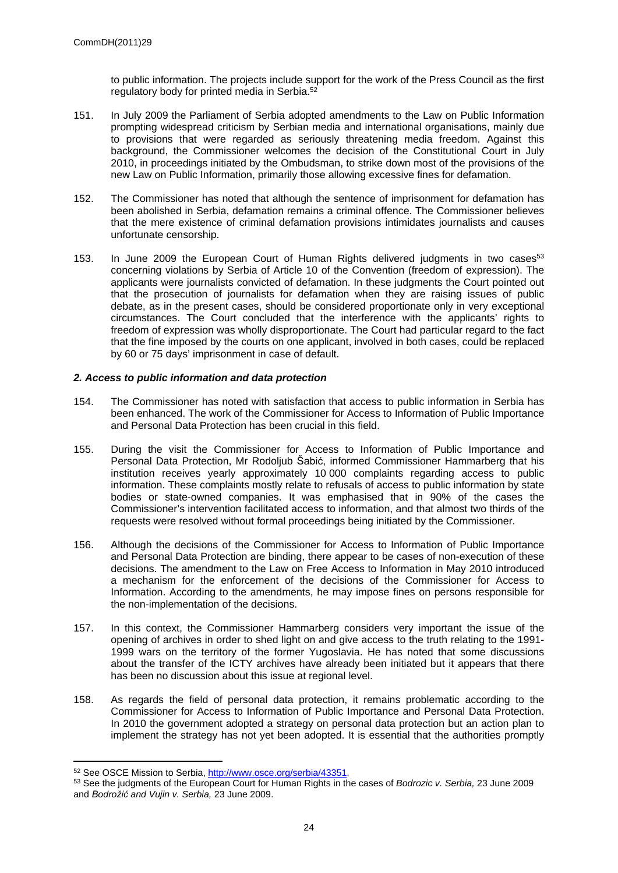to public information. The projects include support for the work of the Press Council as the first regulatory body for printed media in Serbia.<sup>52</sup>

- 151. In July 2009 the Parliament of Serbia adopted amendments to the Law on Public Information prompting widespread criticism by Serbian media and international organisations, mainly due to provisions that were regarded as seriously threatening media freedom. Against this background, the Commissioner welcomes the decision of the Constitutional Court in July 2010, in proceedings initiated by the Ombudsman, to strike down most of the provisions of the new Law on Public Information, primarily those allowing excessive fines for defamation.
- 152. The Commissioner has noted that although the sentence of imprisonment for defamation has been abolished in Serbia, defamation remains a criminal offence. The Commissioner believes that the mere existence of criminal defamation provisions intimidates journalists and causes unfortunate censorship.
- 153. In June 2009 the European Court of Human Rights delivered judgments in two cases<sup>53</sup> concerning violations by Serbia of Article 10 of the Convention (freedom of expression). The applicants were journalists convicted of defamation. In these judgments the Court pointed out that the prosecution of journalists for defamation when they are raising issues of public debate, as in the present cases, should be considered proportionate only in very exceptional circumstances. The Court concluded that the interference with the applicants' rights to freedom of expression was wholly disproportionate. The Court had particular regard to the fact that the fine imposed by the courts on one applicant, involved in both cases, could be replaced by 60 or 75 days' imprisonment in case of default.

#### *2. Access to public information and data protection*

- 154. The Commissioner has noted with satisfaction that access to public information in Serbia has been enhanced. The work of the Commissioner for Access to Information of Public Importance and Personal Data Protection has been crucial in this field.
- 155. During the visit the Commissioner for Access to Information of Public Importance and Personal Data Protection, Mr Rodoljub Šabić, informed Commissioner Hammarberg that his institution receives yearly approximately 10 000 complaints regarding access to public information. These complaints mostly relate to refusals of access to public information by state bodies or state-owned companies. It was emphasised that in 90% of the cases the Commissioner's intervention facilitated access to information, and that almost two thirds of the requests were resolved without formal proceedings being initiated by the Commissioner.
- 156. Although the decisions of the Commissioner for Access to Information of Public Importance and Personal Data Protection are binding, there appear to be cases of non-execution of these decisions. The amendment to the Law on Free Access to Information in May 2010 introduced a mechanism for the enforcement of the decisions of the Commissioner for Access to Information. According to the amendments, he may impose fines on persons responsible for the non-implementation of the decisions.
- 157. In this context, the Commissioner Hammarberg considers very important the issue of the opening of archives in order to shed light on and give access to the truth relating to the 1991- 1999 wars on the territory of the former Yugoslavia. He has noted that some discussions about the transfer of the ICTY archives have already been initiated but it appears that there has been no discussion about this issue at regional level.
- 158. As regards the field of personal data protection, it remains problematic according to the Commissioner for Access to Information of Public Importance and Personal Data Protection. In 2010 the government adopted a strategy on personal data protection but an action plan to implement the strategy has not yet been adopted. It is essential that the authorities promptly

<sup>52</sup> See OSCE Mission to Serbia, <http://www.osce.org/serbia/43351>.

<sup>53</sup> See the judgments of the European Court for Human Rights in the cases of *Bodrozic v. Serbia,* 23 June 2009 and *Bodrožić and Vujin v. Serbia,* 23 June 2009.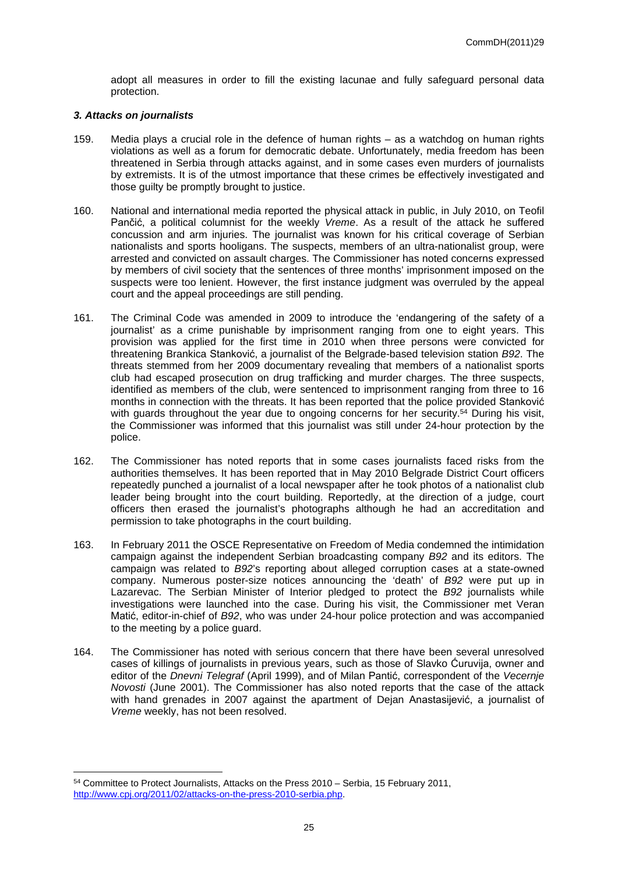adopt all measures in order to fill the existing lacunae and fully safeguard personal data protection.

#### *3. Attacks on journalists*

- 159. Media plays a crucial role in the defence of human rights as a watchdog on human rights violations as well as a forum for democratic debate. Unfortunately, media freedom has been threatened in Serbia through attacks against, and in some cases even murders of journalists by extremists. It is of the utmost importance that these crimes be effectively investigated and those guilty be promptly brought to justice.
- 160. National and international media reported the physical attack in public, in July 2010, on Teofil Pančić, a political columnist for the weekly *Vreme*. As a result of the attack he suffered concussion and arm injuries. The journalist was known for his critical coverage of Serbian nationalists and sports hooligans. The suspects, members of an ultra-nationalist group, were arrested and convicted on assault charges. The Commissioner has noted concerns expressed by members of civil society that the sentences of three months' imprisonment imposed on the suspects were too lenient. However, the first instance judgment was overruled by the appeal court and the appeal proceedings are still pending.
- 161. The Criminal Code was amended in 2009 to introduce the 'endangering of the safety of a journalist' as a crime punishable by imprisonment ranging from one to eight years. This provision was applied for the first time in 2010 when three persons were convicted for threatening Brankica Stanković, a journalist of the Belgrade-based television station *B92*. The threats stemmed from her 2009 documentary revealing that members of a nationalist sports club had escaped prosecution on drug trafficking and murder charges. The three suspects, identified as members of the club, were sentenced to imprisonment ranging from three to 16 months in connection with the threats. It has been reported that the police provided Stanković with guards throughout the year due to ongoing concerns for her security.<sup>54</sup> During his visit, the Commissioner was informed that this journalist was still under 24-hour protection by the police.
- 162. The Commissioner has noted reports that in some cases journalists faced risks from the authorities themselves. It has been reported that in May 2010 Belgrade District Court officers repeatedly punched a journalist of a local newspaper after he took photos of a nationalist club leader being brought into the court building. Reportedly, at the direction of a judge, court officers then erased the journalist's photographs although he had an accreditation and permission to take photographs in the court building.
- 163. In February 2011 the OSCE Representative on Freedom of Media condemned the intimidation campaign against the independent Serbian broadcasting company *B92* and its editors. The campaign was related to *B92*'s reporting about alleged corruption cases at a state-owned company. Numerous poster-size notices announcing the 'death' of *B92* were put up in Lazarevac. The Serbian Minister of Interior pledged to protect the *B92* journalists while investigations were launched into the case. During his visit, the Commissioner met Veran Matić, editor-in-chief of *B92*, who was under 24-hour police protection and was accompanied to the meeting by a police guard.
- 164. The Commissioner has noted with serious concern that there have been several unresolved cases of killings of journalists in previous years, such as those of Slavko Ćuruvija, owner and editor of the *Dnevni Telegraf* (April 1999), and of Milan Pantić, correspondent of the *Vecernje Novosti* (June 2001). The Commissioner has also noted reports that the case of the attack with hand grenades in 2007 against the apartment of Dejan Anastasijević, a journalist of *Vreme* weekly, has not been resolved.

<sup>54</sup> Committee to Protect Journalists, Attacks on the Press 2010 – Serbia, 15 February 2011, <http://www.cpj.org/2011/02/attacks-on-the-press-2010-serbia.php>.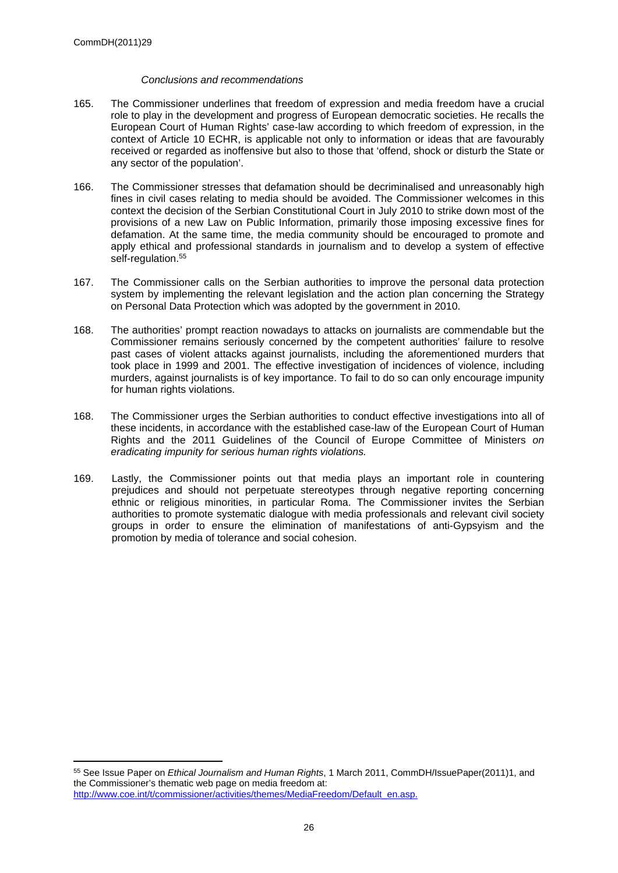#### *Conclusions and recommendations*

- 165. The Commissioner underlines that freedom of expression and media freedom have a crucial role to play in the development and progress of European democratic societies. He recalls the European Court of Human Rights' case-law according to which freedom of expression, in the context of Article 10 ECHR, is applicable not only to information or ideas that are favourably received or regarded as inoffensive but also to those that 'offend, shock or disturb the State or any sector of the population'.
- 166. The Commissioner stresses that defamation should be decriminalised and unreasonably high fines in civil cases relating to media should be avoided. The Commissioner welcomes in this context the decision of the Serbian Constitutional Court in July 2010 to strike down most of the provisions of a new Law on Public Information, primarily those imposing excessive fines for defamation. At the same time, the media community should be encouraged to promote and apply ethical and professional standards in journalism and to develop a system of effective self-regulation.<sup>55</sup>
- 167. The Commissioner calls on the Serbian authorities to improve the personal data protection system by implementing the relevant legislation and the action plan concerning the Strategy on Personal Data Protection which was adopted by the government in 2010.
- 168. The authorities' prompt reaction nowadays to attacks on journalists are commendable but the Commissioner remains seriously concerned by the competent authorities' failure to resolve past cases of violent attacks against journalists, including the aforementioned murders that took place in 1999 and 2001. The effective investigation of incidences of violence, including murders, against journalists is of key importance. To fail to do so can only encourage impunity for human rights violations.
- 168. The Commissioner urges the Serbian authorities to conduct effective investigations into all of these incidents, in accordance with the established case-law of the European Court of Human Rights and the 2011 Guidelines of the Council of Europe Committee of Ministers *on eradicating impunity for serious human rights violations.*
- 169. Lastly, the Commissioner points out that media plays an important role in countering prejudices and should not perpetuate stereotypes through negative reporting concerning ethnic or religious minorities, in particular Roma. The Commissioner invites the Serbian authorities to promote systematic dialogue with media professionals and relevant civil society groups in order to ensure the elimination of manifestations of anti-Gypsyism and the promotion by media of tolerance and social cohesion.

<sup>55</sup> See Issue Paper on *Ethical Journalism and Human Rights*, 1 March 2011, CommDH/IssuePaper(2011)1, and the Commissioner's thematic web page on media freedom at: [http://www.coe.int/t/commissioner/activities/themes/MediaFreedom/Default\\_en.asp.](http://www.coe.int/t/commissioner/activities/themes/MediaFreedom/Default_en.asp.)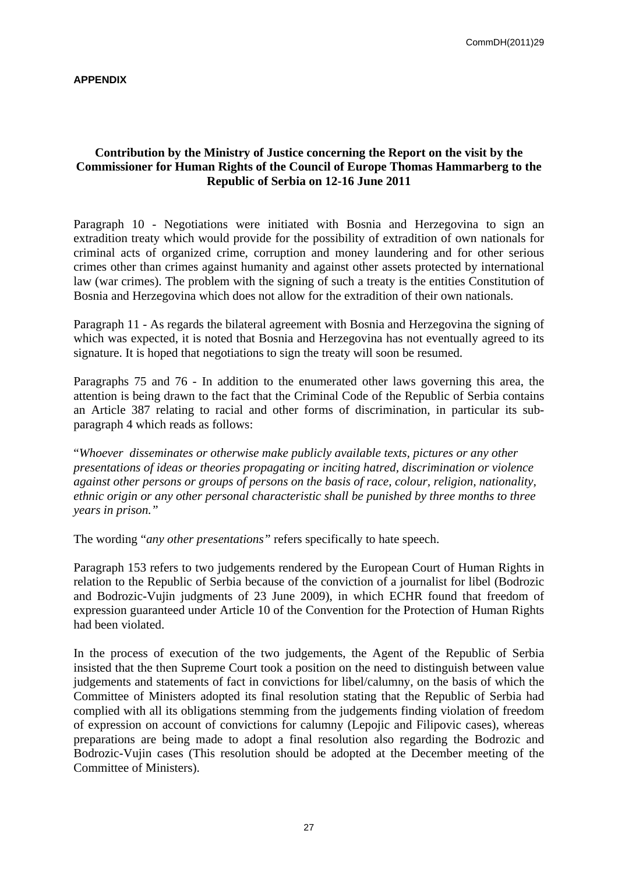### **APPENDIX**

## **Contribution by the Ministry of Justice concerning the Report on the visit by the Commissioner for Human Rights of the Council of Europe Thomas Hammarberg to the Republic of Serbia on 12-16 June 2011**

Paragraph 10 - Negotiations were initiated with Bosnia and Herzegovina to sign an extradition treaty which would provide for the possibility of extradition of own nationals for criminal acts of organized crime, corruption and money laundering and for other serious crimes other than crimes against humanity and against other assets protected by international law (war crimes). The problem with the signing of such a treaty is the entities Constitution of Bosnia and Herzegovina which does not allow for the extradition of their own nationals.

Paragraph 11 - As regards the bilateral agreement with Bosnia and Herzegovina the signing of which was expected, it is noted that Bosnia and Herzegovina has not eventually agreed to its signature. It is hoped that negotiations to sign the treaty will soon be resumed.

Paragraphs 75 and 76 - In addition to the enumerated other laws governing this area, the attention is being drawn to the fact that the Criminal Code of the Republic of Serbia contains an Article 387 relating to racial and other forms of discrimination, in particular its subparagraph 4 which reads as follows:

"*Whoever disseminates or otherwise make publicly available texts, pictures or any other presentations of ideas or theories propagating or inciting hatred, discrimination or violence against other persons or groups of persons on the basis of race, colour, religion, nationality, ethnic origin or any other personal characteristic shall be punished by three months to three years in prison."*

The wording "*any other presentations"* refers specifically to hate speech.

Paragraph 153 refers to two judgements rendered by the European Court of Human Rights in relation to the Republic of Serbia because of the conviction of a journalist for libel (Bodrozic and Bodrozic-Vujin judgments of 23 June 2009), in which ECHR found that freedom of expression guaranteed under Article 10 of the Convention for the Protection of Human Rights had been violated.

In the process of execution of the two judgements, the Agent of the Republic of Serbia insisted that the then Supreme Court took a position on the need to distinguish between value judgements and statements of fact in convictions for libel/calumny, on the basis of which the Committee of Ministers adopted its final resolution stating that the Republic of Serbia had complied with all its obligations stemming from the judgements finding violation of freedom of expression on account of convictions for calumny (Lepojic and Filipovic cases), whereas preparations are being made to adopt a final resolution also regarding the Bodrozic and Bodrozic-Vujin cases (This resolution should be adopted at the December meeting of the Committee of Ministers).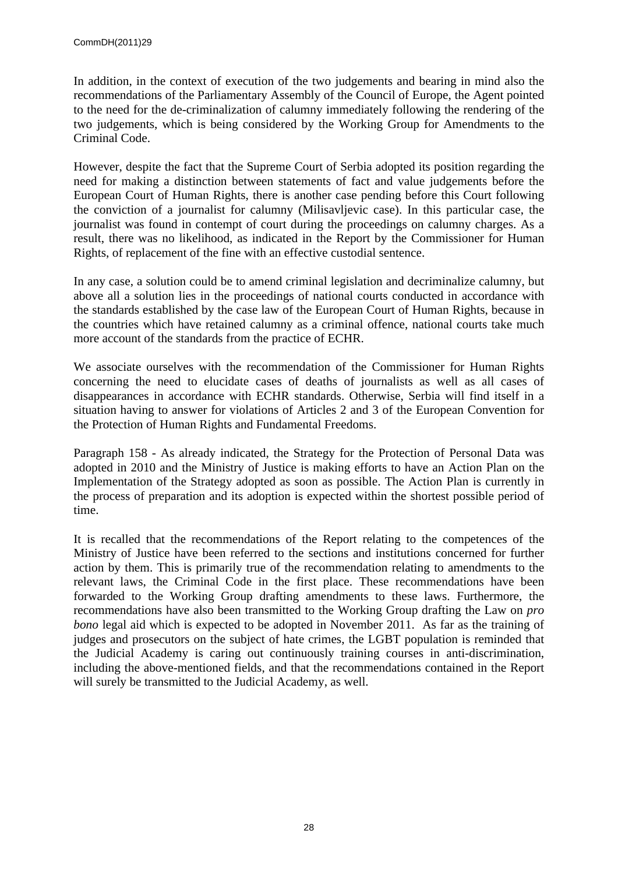In addition, in the context of execution of the two judgements and bearing in mind also the recommendations of the Parliamentary Assembly of the Council of Europe, the Agent pointed to the need for the de-criminalization of calumny immediately following the rendering of the two judgements, which is being considered by the Working Group for Amendments to the Criminal Code.

However, despite the fact that the Supreme Court of Serbia adopted its position regarding the need for making a distinction between statements of fact and value judgements before the European Court of Human Rights, there is another case pending before this Court following the conviction of a journalist for calumny (Milisavljevic case). In this particular case, the journalist was found in contempt of court during the proceedings on calumny charges. As a result, there was no likelihood, as indicated in the Report by the Commissioner for Human Rights, of replacement of the fine with an effective custodial sentence.

In any case, a solution could be to amend criminal legislation and decriminalize calumny, but above all a solution lies in the proceedings of national courts conducted in accordance with the standards established by the case law of the European Court of Human Rights, because in the countries which have retained calumny as a criminal offence, national courts take much more account of the standards from the practice of ECHR.

We associate ourselves with the recommendation of the Commissioner for Human Rights concerning the need to elucidate cases of deaths of journalists as well as all cases of disappearances in accordance with ECHR standards. Otherwise, Serbia will find itself in a situation having to answer for violations of Articles 2 and 3 of the European Convention for the Protection of Human Rights and Fundamental Freedoms.

Paragraph 158 - As already indicated, the Strategy for the Protection of Personal Data was adopted in 2010 and the Ministry of Justice is making efforts to have an Action Plan on the Implementation of the Strategy adopted as soon as possible. The Action Plan is currently in the process of preparation and its adoption is expected within the shortest possible period of time.

It is recalled that the recommendations of the Report relating to the competences of the Ministry of Justice have been referred to the sections and institutions concerned for further action by them. This is primarily true of the recommendation relating to amendments to the relevant laws, the Criminal Code in the first place. These recommendations have been forwarded to the Working Group drafting amendments to these laws. Furthermore, the recommendations have also been transmitted to the Working Group drafting the Law on *pro bono* legal aid which is expected to be adopted in November 2011.As far as the training of judges and prosecutors on the subject of hate crimes, the LGBT population is reminded that the Judicial Academy is caring out continuously training courses in anti-discrimination, including the above-mentioned fields, and that the recommendations contained in the Report will surely be transmitted to the Judicial Academy, as well.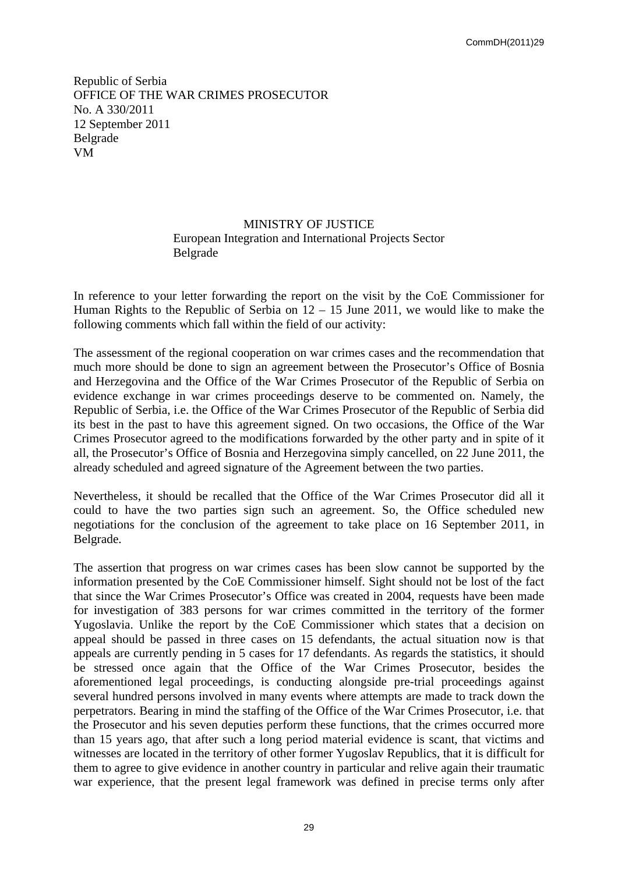Republic of Serbia OFFICE OF THE WAR CRIMES PROSECUTOR No. A 330/2011 12 September 2011 Belgrade VM

### MINISTRY OF JUSTICE European Integration and International Projects Sector Belgrade

In reference to your letter forwarding the report on the visit by the CoE Commissioner for Human Rights to the Republic of Serbia on  $12 - 15$  June 2011, we would like to make the following comments which fall within the field of our activity:

The assessment of the regional cooperation on war crimes cases and the recommendation that much more should be done to sign an agreement between the Prosecutor's Office of Bosnia and Herzegovina and the Office of the War Crimes Prosecutor of the Republic of Serbia on evidence exchange in war crimes proceedings deserve to be commented on. Namely, the Republic of Serbia, i.e. the Office of the War Crimes Prosecutor of the Republic of Serbia did its best in the past to have this agreement signed. On two occasions, the Office of the War Crimes Prosecutor agreed to the modifications forwarded by the other party and in spite of it all, the Prosecutor's Office of Bosnia and Herzegovina simply cancelled, on 22 June 2011, the already scheduled and agreed signature of the Agreement between the two parties.

Nevertheless, it should be recalled that the Office of the War Crimes Prosecutor did all it could to have the two parties sign such an agreement. So, the Office scheduled new negotiations for the conclusion of the agreement to take place on 16 September 2011, in Belgrade.

The assertion that progress on war crimes cases has been slow cannot be supported by the information presented by the CoE Commissioner himself. Sight should not be lost of the fact that since the War Crimes Prosecutor's Office was created in 2004, requests have been made for investigation of 383 persons for war crimes committed in the territory of the former Yugoslavia. Unlike the report by the CoE Commissioner which states that a decision on appeal should be passed in three cases on 15 defendants, the actual situation now is that appeals are currently pending in 5 cases for 17 defendants. As regards the statistics, it should be stressed once again that the Office of the War Crimes Prosecutor, besides the aforementioned legal proceedings, is conducting alongside pre-trial proceedings against several hundred persons involved in many events where attempts are made to track down the perpetrators. Bearing in mind the staffing of the Office of the War Crimes Prosecutor, i.e. that the Prosecutor and his seven deputies perform these functions, that the crimes occurred more than 15 years ago, that after such a long period material evidence is scant, that victims and witnesses are located in the territory of other former Yugoslav Republics, that it is difficult for them to agree to give evidence in another country in particular and relive again their traumatic war experience, that the present legal framework was defined in precise terms only after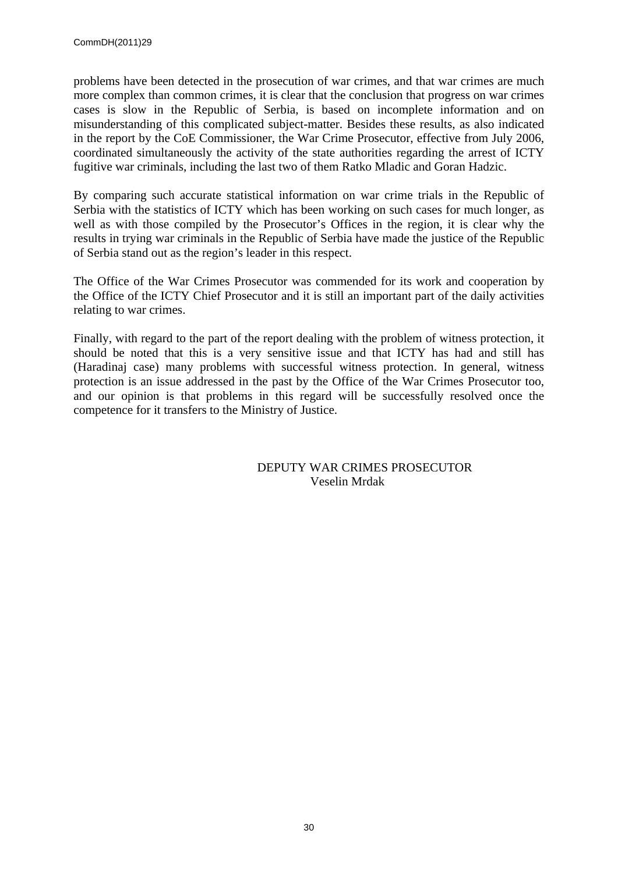problems have been detected in the prosecution of war crimes, and that war crimes are much more complex than common crimes, it is clear that the conclusion that progress on war crimes cases is slow in the Republic of Serbia, is based on incomplete information and on misunderstanding of this complicated subject-matter. Besides these results, as also indicated in the report by the CoE Commissioner, the War Crime Prosecutor, effective from July 2006, coordinated simultaneously the activity of the state authorities regarding the arrest of ICTY fugitive war criminals, including the last two of them Ratko Mladic and Goran Hadzic.

By comparing such accurate statistical information on war crime trials in the Republic of Serbia with the statistics of ICTY which has been working on such cases for much longer, as well as with those compiled by the Prosecutor's Offices in the region, it is clear why the results in trying war criminals in the Republic of Serbia have made the justice of the Republic of Serbia stand out as the region's leader in this respect.

The Office of the War Crimes Prosecutor was commended for its work and cooperation by the Office of the ICTY Chief Prosecutor and it is still an important part of the daily activities relating to war crimes.

Finally, with regard to the part of the report dealing with the problem of witness protection, it should be noted that this is a very sensitive issue and that ICTY has had and still has (Haradinaj case) many problems with successful witness protection. In general, witness protection is an issue addressed in the past by the Office of the War Crimes Prosecutor too, and our opinion is that problems in this regard will be successfully resolved once the competence for it transfers to the Ministry of Justice.

> DEPUTY WAR CRIMES PROSECUTOR Veselin Mrdak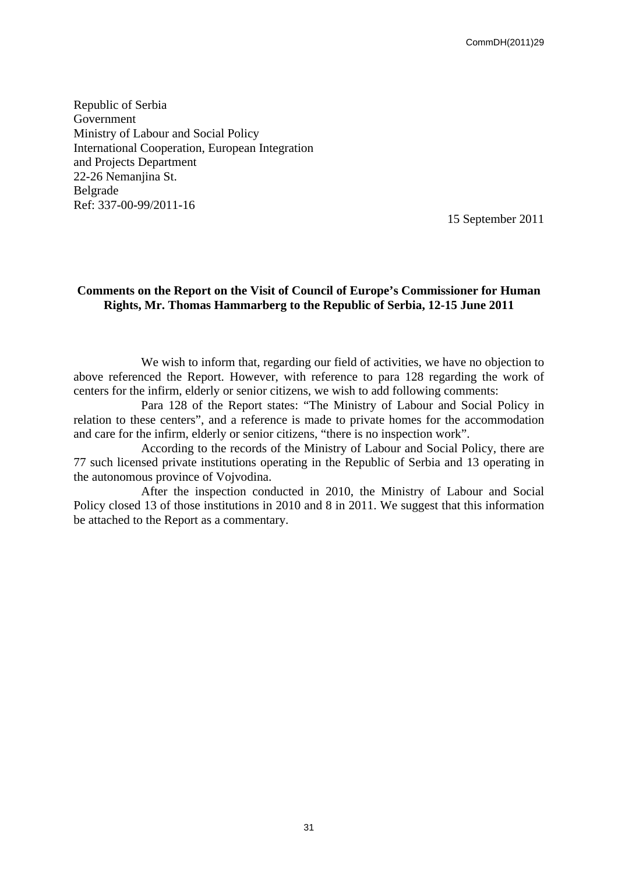Republic of Serbia Government Ministry of Labour and Social Policy International Cooperation, European Integration and Projects Department 22-26 Nemanjina St. Belgrade Ref: 337-00-99/2011-16

15 September 2011

### **Comments on the Report on the Visit of Council of Europe's Commissioner for Human Rights, Mr. Thomas Hammarberg to the Republic of Serbia, 12-15 June 2011**

We wish to inform that, regarding our field of activities, we have no objection to above referenced the Report. However, with reference to para 128 regarding the work of centers for the infirm, elderly or senior citizens, we wish to add following comments:

Para 128 of the Report states: "The Ministry of Labour and Social Policy in relation to these centers", and a reference is made to private homes for the accommodation and care for the infirm, elderly or senior citizens, "there is no inspection work".

According to the records of the Ministry of Labour and Social Policy, there are 77 such licensed private institutions operating in the Republic of Serbia and 13 operating in the autonomous province of Vojvodina.

After the inspection conducted in 2010, the Ministry of Labour and Social Policy closed 13 of those institutions in 2010 and 8 in 2011. We suggest that this information be attached to the Report as a commentary.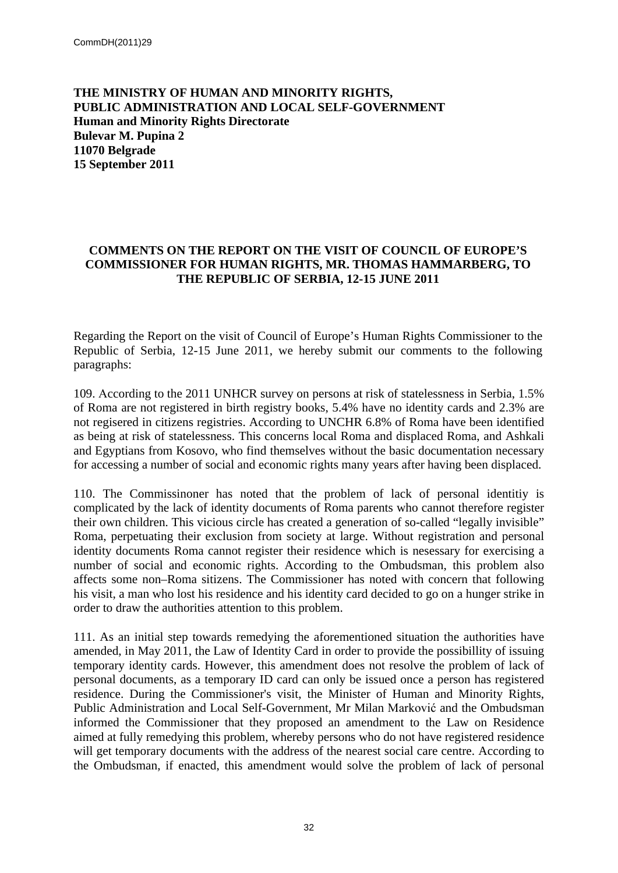**THE MINISTRY OF HUMAN AND MINORITY RIGHTS, PUBLIC ADMINISTRATION AND LOCAL SELF-GOVERNMENT Human and Minority Rights Directorate Bulevar M. Pupina 2 11070 Belgrade 15 September 2011**

## **COMMENTS ON THE REPORT ON THE VISIT OF COUNCIL OF EUROPE'S COMMISSIONER FOR HUMAN RIGHTS, MR. THOMAS HAMMARBERG, TO THE REPUBLIC OF SERBIA, 12-15 JUNE 2011**

Regarding the Report on the visit of Council of Europe's Human Rights Commissioner to the Republic of Serbia, 12-15 June 2011, we hereby submit our comments to the following paragraphs:

109. Аccording to the 2011 UNHCR survey on persons at risk of statelessness in Serbia, 1.5% of Roma are not registered in birth registry books, 5.4% have no identity cards and 2.3% are not regisered in citizens registries. According to UNCHR 6.8% of Roma have been identified as being at risk of statelessness. This concerns local Roma and displaced Roma, and Ashkali and Egyptians from Kosovo, who find themselves without the basic documentation necessary for accessing a number of social and economic rights many years after having been displaced.

110. The Commissinoner has noted that the problem of lack of personal identitiy is complicated by the lack of identity documents of Roma parents who cannot therefore register their own children. This vicious circle has created a generation of so-called "legally invisible" Roma, perpetuating their exclusion from society at large. Without registration and personal identity documents Roma cannot register their residence which is nesessary for exercising a number of social and economic rights. According to the Ombudsman, this problem also affects some non–Roma sitizens. The Commissioner has noted with concern that following his visit, a man who lost his residence and his identity card decided to go on a hunger strike in order to draw the authorities attention to this problem.

111. As an initial step towards remedying the aforementioned situation the authorities have amended, in May 2011, the Law of Identity Card in order to provide the possibillity of issuing temporary identity cards. However, this amendment does not resolve the problem of lack of personal documents, as a temporary ID card can only be issued once a person has registered residence. During the Commissioner's visit, the Minister of Human and Minority Rights, Public Administration and Local Self-Government, Mr Milan Marković and the Ombudsman informed the Commissioner that they proposed an amendment to the Law on Residence aimed at fully remedying this problem, whereby persons who do not have registered residence will get temporary documents with the address of the nearest social care centre. According to the Ombudsman, if enacted, this amendment would solve the problem of lack of personal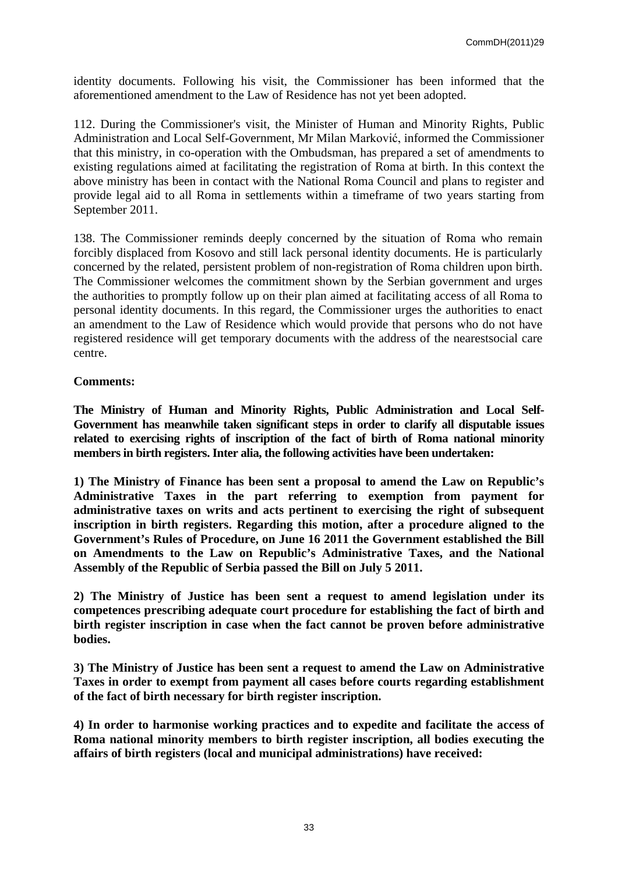identity documents. Following his visit, the Commissioner has been informed that the aforementioned amendment to the Law of Residence has not yet been adopted.

112. During the Commissioner's visit, the Minister of Human and Minority Rights, Public Administration and Local Self-Government, Mr Milan Marković, informed the Commissioner that this ministry, in co-operation with the Ombudsman, has prepared a set of amendments to existing regulations aimed at facilitating the registration of Roma at birth. In this context the above ministry has been in contact with the National Roma Council and plans to register and provide legal aid to all Roma in settlements within a timeframe of two years starting from September 2011.

138. The Commissioner reminds deeply concerned by the situation of Roma who remain forcibly displaced from Kosovo and still lack personal identity documents. He is particularly concerned by the related, persistent problem of non-registration of Roma children upon birth. The Commissioner welcomes the commitment shown by the Serbian government and urges the authorities to promptly follow up on their plan aimed at facilitating access of all Roma to personal identity documents. In this regard, the Commissioner urges the authorities to enact an amendment to the Law of Residence which would provide that persons who do not have registered residence will get temporary documents with the address of the nearestsocial care centre.

### **Comments:**

**The Ministry of Human and Minority Rights, Public Administration and Local Self-Government has meanwhile taken significant steps in order to clarify all disputable issues related to exercising rights of inscription of the fact of birth of Roma national minority members in birth registers. Inter alia, the following activities have been undertaken:**

**1) The Ministry of Finance has been sent a proposal to amend the Law on Republic's Administrative Taxes in the part referring to exemption from payment for administrative taxes on writs and acts pertinent to exercising the right of subsequent inscription in birth registers. Regarding this motion, after a procedure aligned to the Government's Rules of Procedure, on June 16 2011 the Government established the Bill on Amendments to the Law on Republic's Administrative Taxes, and the National Assembly of the Republic of Serbia passed the Bill on July 5 2011.** 

**2) The Ministry of Justice has been sent a request to amend legislation under its competences prescribing adequate court procedure for establishing the fact of birth and birth register inscription in case when the fact cannot be proven before administrative bodies.**

**3) The Ministry of Justice has been sent a request to amend the Law on Administrative Taxes in order to exempt from payment all cases before courts regarding establishment of the fact of birth necessary for birth register inscription.** 

**4) In order to harmonise working practices and to expedite and facilitate the access of Roma national minority members to birth register inscription, all bodies executing the affairs of birth registers (local and municipal administrations) have received:**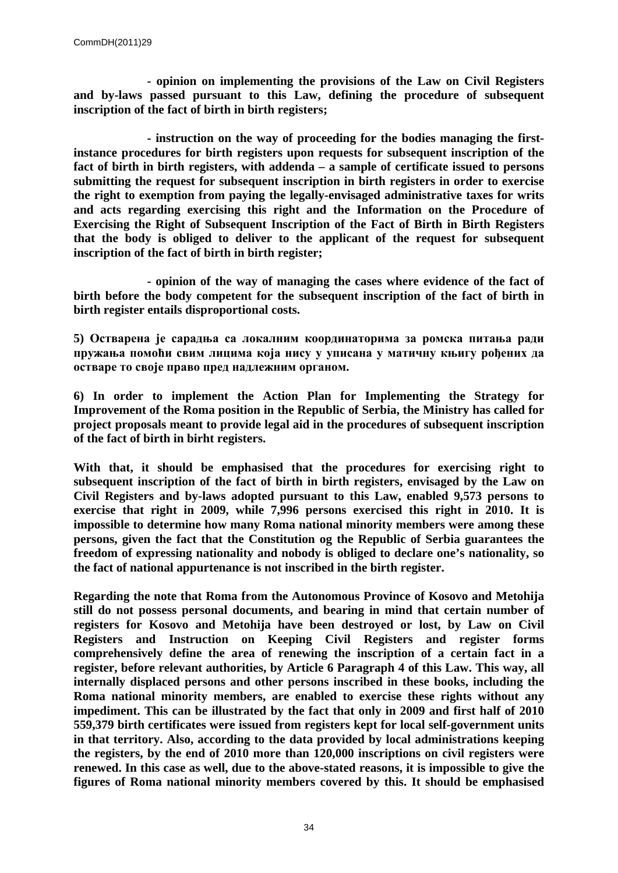**- opinion on implementing the provisions of the Law on Civil Registers and by-laws passed pursuant to this Law, defining the procedure of subsequent inscription of the fact of birth in birth registers;**

**- instruction on the way of proceeding for the bodies managing the firstinstance procedures for birth registers upon requests for subsequent inscription of the fact of birth in birth registers, with addenda – a sample of certificate issued to persons submitting the request for subsequent inscription in birth registers in order to exercise the right to exemption from paying the legally-envisaged administrative taxes for writs and acts regarding exercising this right and the Information on the Procedure of Exercising the Right of Subsequent Inscription of the Fact of Birth in Birth Registers that the body is obliged to deliver to the applicant of the request for subsequent inscription of the fact of birth in birth register;**

**- opinion of the way of managing the cases where evidence of the fact of birth before the body competent for the subsequent inscription of the fact of birth in birth register entails disproportional costs.** 

**5) Остварена је сарадња са локалним координаторима за ромска питања ради пружања помоћи свим лицима која нису у уписана у матичну књигу рођених да остваре то своје право пред надлежним органом.**

**6) In order to implement the Action Plan for Implementing the Strategy for Improvement of the Roma position in the Republic of Serbia, the Ministry has called for project proposals meant to provide legal aid in the procedures of subsequent inscription of the fact of birth in birht registers.** 

**With that, it should be emphasised that the procedures for exercising right to subsequent inscription of the fact of birth in birth registers, envisaged by the Law on Civil Registers and by-laws adopted pursuant to this Law, enabled 9,573 persons to exercise that right in 2009, while 7,996 persons exercised this right in 2010. It is impossible to determine how many Roma national minority members were among these persons, given the fact that the Constitution og the Republic of Serbia guarantees the freedom of expressing nationality and nobody is obliged to declare one's nationality, so the fact of national appurtenance is not inscribed in the birth register.** 

**Regarding the note that Roma from the Autonomous Province of Kosovo and Metohija still do not possess personal documents, and bearing in mind that certain number of registers for Kosovo and Metohija have been destroyed or lost, by Law on Civil Registers and Instruction on Keeping Civil Registers and register forms comprehensively define the area of renewing the inscription of a certain fact in a register, before relevant authorities, by Article 6 Paragraph 4 of this Law. This way, all internally displaced persons and other persons inscribed in these books, including the Roma national minority members, are enabled to exercise these rights without any impediment. This can be illustrated by the fact that only in 2009 and first half of 2010 559,379 birth certificates were issued from registers kept for local self-government units in that territory. Also, according to the data provided by local administrations keeping the registers, by the end of 2010 more than 120,000 inscriptions on civil registers were renewed. In this case as well, due to the above-stated reasons, it is impossible to give the figures of Roma national minority members covered by this. It should be emphasised**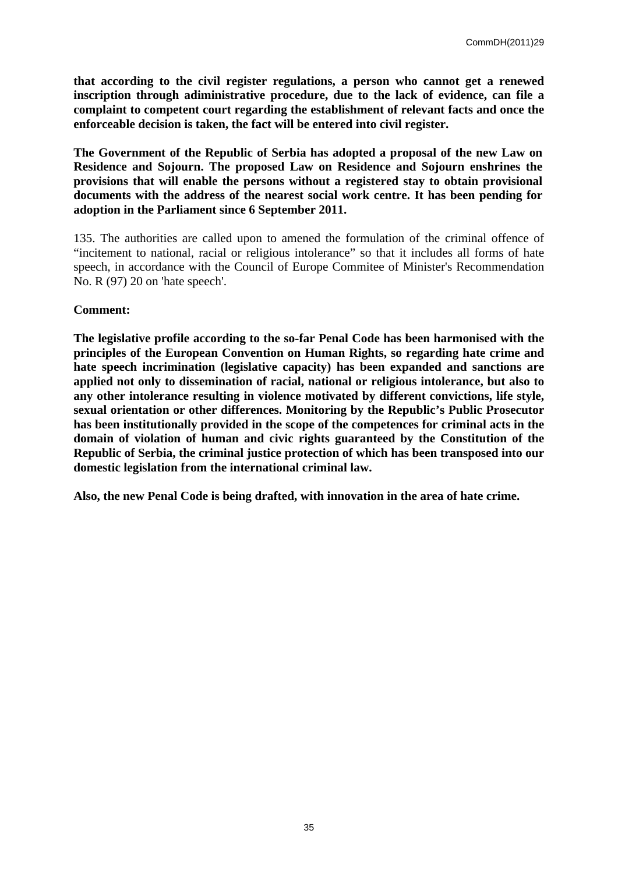**that according to the civil register regulations, a person who cannot get a renewed inscription through adiministrative procedure, due to the lack of evidence, can file a complaint to competent court regarding the establishment of relevant facts and once the enforceable decision is taken, the fact will be entered into civil register.** 

**The Government of the Republic of Serbia has adopted a proposal of the new Law on Residence and Sojourn. The proposed Law on Residence and Sojourn enshrines the provisions that will enable the persons without a registered stay to obtain provisional documents with the address of the nearest social work centre. It has been pending for adoption in the Parliament since 6 September 2011.**

135. The authorities are called upon to amened the formulation of the criminal offence of "incitement to national, racial or religious intolerance" so that it includes all forms of hate speech, in accordance with the Council of Europe Commitee of Minister's Recommendation No. R (97) 20 on 'hate speech'.

### **Comment:**

**The legislative profile according to the so-far Penal Code has been harmonised with the principles of the European Convention on Human Rights, so regarding hate crime and hate speech incrimination (legislative capacity) has been expanded and sanctions are applied not only to dissemination of racial, national or religious intolerance, but also to any other intolerance resulting in violence motivated by different convictions, life style, sexual orientation or other differences. Monitoring by the Republic's Public Prosecutor has been institutionally provided in the scope of the competences for criminal acts in the domain of violation of human and civic rights guaranteed by the Constitution of the Republic of Serbia, the criminal justice protection of which has been transposed into our domestic legislation from the international criminal law.**

**Also, the new Penal Code is being drafted, with innovation in the area of hate crime.**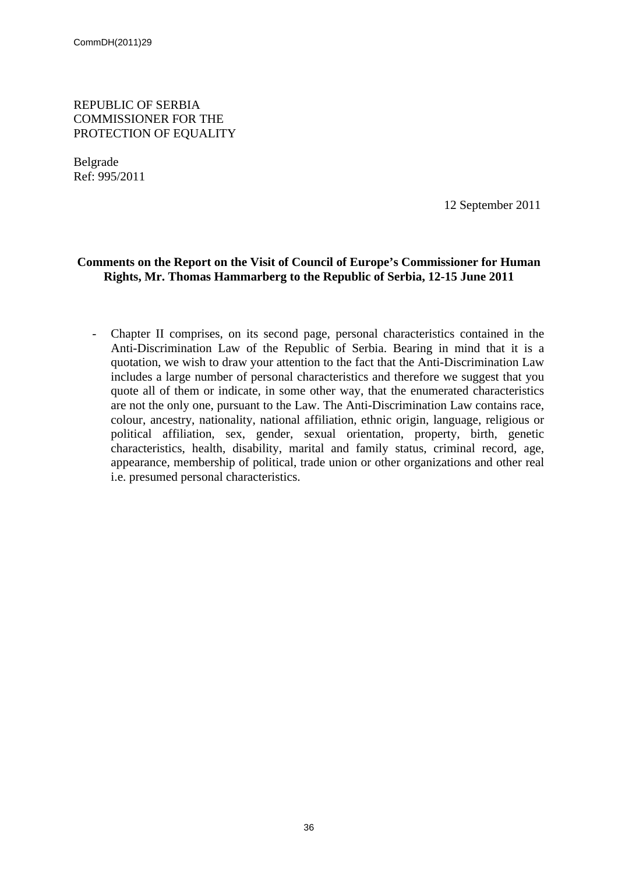REPUBLIC OF SERBIA COMMISSIONER FOR THE PROTECTION OF EQUALITY

Belgrade Ref: 995/2011

12 September 2011

### **Comments on the Report on the Visit of Council of Europe's Commissioner for Human Rights, Mr. Thomas Hammarberg to the Republic of Serbia, 12-15 June 2011**

- Chapter II comprises, on its second page, personal characteristics contained in the Anti-Discrimination Law of the Republic of Serbia. Bearing in mind that it is a quotation, we wish to draw your attention to the fact that the Anti-Discrimination Law includes a large number of personal characteristics and therefore we suggest that you quote all of them or indicate, in some other way, that the enumerated characteristics are not the only one, pursuant to the Law. The Anti-Discrimination Law contains race, colour, ancestry, nationality, national affiliation, ethnic origin, language, religious or political affiliation, sex, gender, sexual orientation, property, birth, genetic characteristics, health, disability, marital and family status, criminal record, age, appearance, membership of political, trade union or other organizations and other real i.e. presumed personal characteristics.